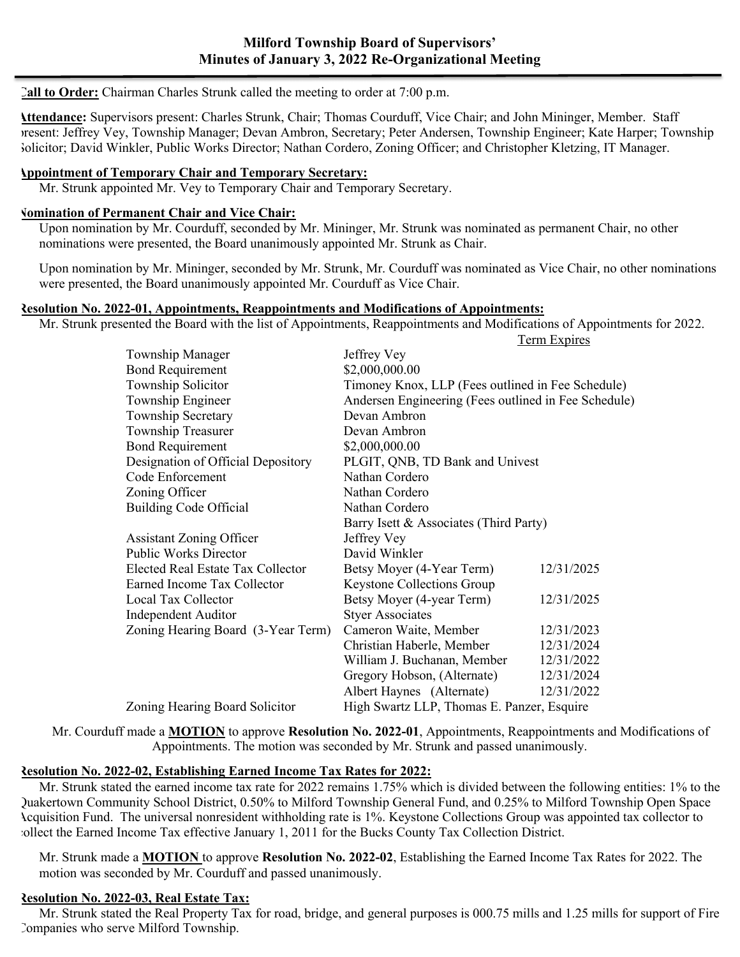#### **Call to Order:** Chairman Charles Strunk called the meeting to order at 7:00 p.m.

**Attendance:** Supervisors present: Charles Strunk, Chair; Thomas Courduff, Vice Chair; and John Mininger, Member. Staff present: Jeffrey Vey, Township Manager; Devan Ambron, Secretary; Peter Andersen, Township Engineer; Kate Harper; Township Solicitor; David Winkler, Public Works Director; Nathan Cordero, Zoning Officer; and Christopher Kletzing, IT Manager.

### **Appointment of Temporary Chair and Temporary Secretary:**

Mr. Strunk appointed Mr. Vey to Temporary Chair and Temporary Secretary.

#### **Nomination of Permanent Chair and Vice Chair:**

Upon nomination by Mr. Courduff, seconded by Mr. Mininger, Mr. Strunk was nominated as permanent Chair, no other nominations were presented, the Board unanimously appointed Mr. Strunk as Chair.

Upon nomination by Mr. Mininger, seconded by Mr. Strunk, Mr. Courduff was nominated as Vice Chair, no other nominations were presented, the Board unanimously appointed Mr. Courduff as Vice Chair.

#### **Resolution No. 2022-01, Appointments, Reappointments and Modifications of Appointments:**

Mr. Strunk presented the Board with the list of Appointments, Reappointments and Modifications of Appointments for 2022. Term Expires

|                                    |                                                      | <u>ruin Lapnes</u> |
|------------------------------------|------------------------------------------------------|--------------------|
| <b>Township Manager</b>            | Jeffrey Vey                                          |                    |
| <b>Bond Requirement</b>            | \$2,000,000.00                                       |                    |
| Township Solicitor                 | Timoney Knox, LLP (Fees outlined in Fee Schedule)    |                    |
| Township Engineer                  | Andersen Engineering (Fees outlined in Fee Schedule) |                    |
| Township Secretary                 | Devan Ambron                                         |                    |
| Township Treasurer                 | Devan Ambron                                         |                    |
| <b>Bond Requirement</b>            | \$2,000,000.00                                       |                    |
| Designation of Official Depository | PLGIT, QNB, TD Bank and Univest                      |                    |
| Code Enforcement                   | Nathan Cordero                                       |                    |
| Zoning Officer                     | Nathan Cordero                                       |                    |
| Building Code Official             | Nathan Cordero                                       |                    |
|                                    | Barry Isett & Associates (Third Party)               |                    |
| <b>Assistant Zoning Officer</b>    | Jeffrey Vey                                          |                    |
| <b>Public Works Director</b>       | David Winkler                                        |                    |
| Elected Real Estate Tax Collector  | Betsy Moyer (4-Year Term)                            | 12/31/2025         |
| Earned Income Tax Collector        | <b>Keystone Collections Group</b>                    |                    |
| Local Tax Collector                | Betsy Moyer (4-year Term)                            | 12/31/2025         |
| Independent Auditor                | <b>Styer Associates</b>                              |                    |
| Zoning Hearing Board (3-Year Term) | Cameron Waite, Member                                | 12/31/2023         |
|                                    | Christian Haberle, Member                            | 12/31/2024         |
|                                    | William J. Buchanan, Member                          | 12/31/2022         |
|                                    | Gregory Hobson, (Alternate)                          | 12/31/2024         |
|                                    | Albert Haynes (Alternate)                            | 12/31/2022         |
| Zoning Hearing Board Solicitor     | High Swartz LLP, Thomas E. Panzer, Esquire           |                    |

Mr. Courduff made a **MOTION** to approve **Resolution No. 2022-01**, Appointments, Reappointments and Modifications of Appointments. The motion was seconded by Mr. Strunk and passed unanimously.

#### **Resolution No. 2022-02, Establishing Earned Income Tax Rates for 2022:**

Mr. Strunk stated the earned income tax rate for 2022 remains 1.75% which is divided between the following entities: 1% to the Quakertown Community School District, 0.50% to Milford Township General Fund, and 0.25% to Milford Township Open Space Acquisition Fund. The universal nonresident withholding rate is 1%. Keystone Collections Group was appointed tax collector to collect the Earned Income Tax effective January 1, 2011 for the Bucks County Tax Collection District.

Mr. Strunk made a **MOTION** to approve **Resolution No. 2022-02**, Establishing the Earned Income Tax Rates for 2022. The motion was seconded by Mr. Courduff and passed unanimously.

#### **Resolution No. 2022-03, Real Estate Tax:**

Mr. Strunk stated the Real Property Tax for road, bridge, and general purposes is 000.75 mills and 1.25 mills for support of Fire Companies who serve Milford Township.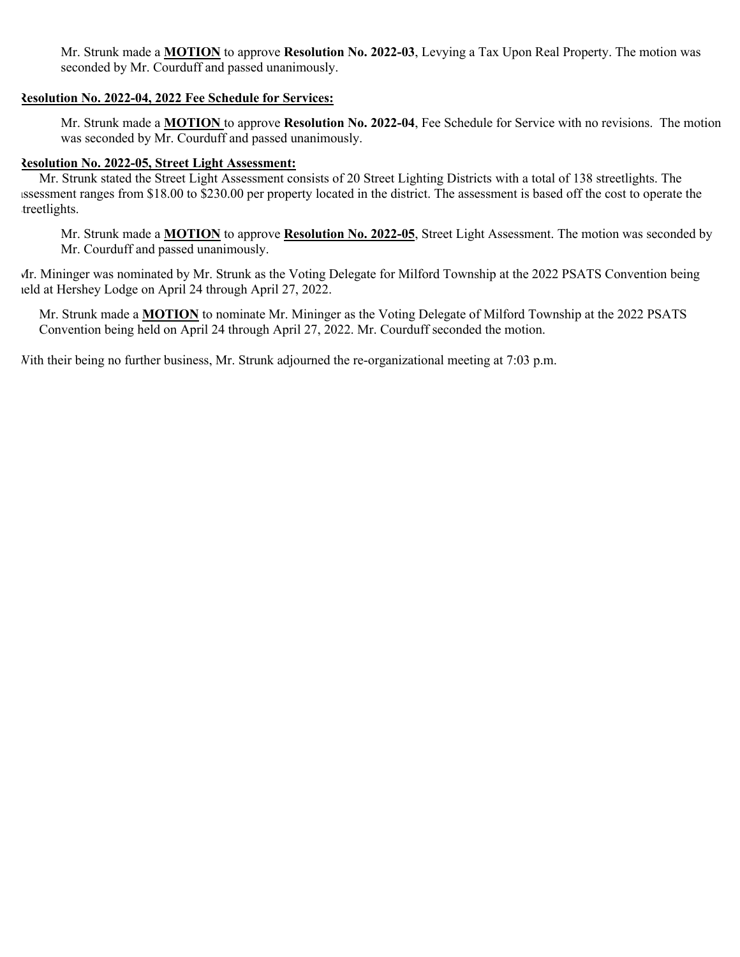Mr. Strunk made a **MOTION** to approve **Resolution No. 2022-03**, Levying a Tax Upon Real Property. The motion was seconded by Mr. Courduff and passed unanimously.

#### **Resolution No. 2022-04, 2022 Fee Schedule for Services:**

Mr. Strunk made a **MOTION** to approve **Resolution No. 2022-04**, Fee Schedule for Service with no revisions. The motion was seconded by Mr. Courduff and passed unanimously.

### **Resolution No. 2022-05, Street Light Assessment:**

Mr. Strunk stated the Street Light Assessment consists of 20 Street Lighting Districts with a total of 138 streetlights. The assessment ranges from \$18.00 to \$230.00 per property located in the district. The assessment is based off the cost to operate the treetlights.

Mr. Strunk made a **MOTION** to approve **Resolution No. 2022-05**, Street Light Assessment. The motion was seconded by Mr. Courduff and passed unanimously.

Mr. Mininger was nominated by Mr. Strunk as the Voting Delegate for Milford Township at the 2022 PSATS Convention being held at Hershey Lodge on April 24 through April 27, 2022.

Mr. Strunk made a **MOTION** to nominate Mr. Mininger as the Voting Delegate of Milford Township at the 2022 PSATS Convention being held on April 24 through April 27, 2022. Mr. Courduff seconded the motion.

With their being no further business, Mr. Strunk adjourned the re-organizational meeting at 7:03 p.m.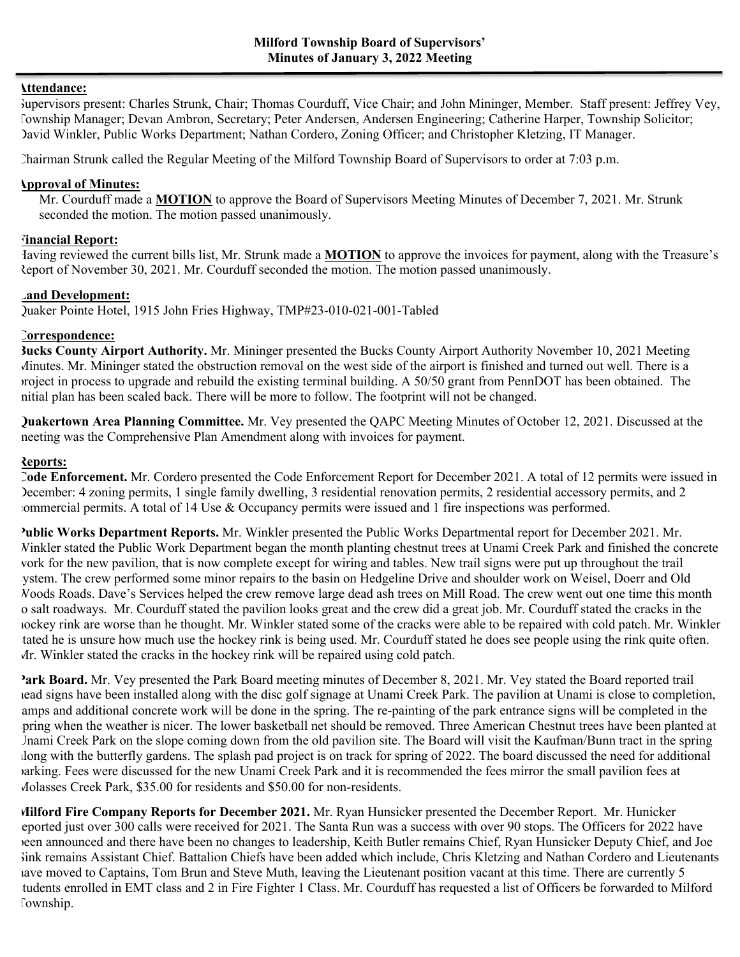#### **Attendance:**

Supervisors present: Charles Strunk, Chair; Thomas Courduff, Vice Chair; and John Mininger, Member. Staff present: Jeffrey Vey, Township Manager; Devan Ambron, Secretary; Peter Andersen, Andersen Engineering; Catherine Harper, Township Solicitor; David Winkler, Public Works Department; Nathan Cordero, Zoning Officer; and Christopher Kletzing, IT Manager.

Chairman Strunk called the Regular Meeting of the Milford Township Board of Supervisors to order at 7:03 p.m.

#### **Approval of Minutes:**

Mr. Courduff made a **MOTION** to approve the Board of Supervisors Meeting Minutes of December 7, 2021. Mr. Strunk seconded the motion. The motion passed unanimously.

### **Financial Report:**

Having reviewed the current bills list, Mr. Strunk made a **MOTION** to approve the invoices for payment, along with the Treasure's Report of November 30, 2021. Mr. Courduff seconded the motion. The motion passed unanimously.

### **Land Development:**

Quaker Pointe Hotel, 1915 John Fries Highway, TMP#23-010-021-001-Tabled

### **Correspondence:**

**Bucks County Airport Authority.** Mr. Mininger presented the Bucks County Airport Authority November 10, 2021 Meeting Minutes. Mr. Mininger stated the obstruction removal on the west side of the airport is finished and turned out well. There is a project in process to upgrade and rebuild the existing terminal building. A 50/50 grant from PennDOT has been obtained. The initial plan has been scaled back. There will be more to follow. The footprint will not be changed.

**Quakertown Area Planning Committee.** Mr. Vey presented the QAPC Meeting Minutes of October 12, 2021. Discussed at the meeting was the Comprehensive Plan Amendment along with invoices for payment.

### **Reports:**

**Code Enforcement.** Mr. Cordero presented the Code Enforcement Report for December 2021. A total of 12 permits were issued in December: 4 zoning permits, 1 single family dwelling, 3 residential renovation permits, 2 residential accessory permits, and 2 commercial permits. A total of 14 Use & Occupancy permits were issued and 1 fire inspections was performed.

**Public Works Department Reports.** Mr. Winkler presented the Public Works Departmental report for December 2021. Mr. Winkler stated the Public Work Department began the month planting chestnut trees at Unami Creek Park and finished the concrete work for the new pavilion, that is now complete except for wiring and tables. New trail signs were put up throughout the trail system. The crew performed some minor repairs to the basin on Hedgeline Drive and shoulder work on Weisel, Doerr and Old Woods Roads. Dave's Services helped the crew remove large dead ash trees on Mill Road. The crew went out one time this month to salt roadways. Mr. Courduff stated the pavilion looks great and the crew did a great job. Mr. Courduff stated the cracks in the hockey rink are worse than he thought. Mr. Winkler stated some of the cracks were able to be repaired with cold patch. Mr. Winkler tated he is unsure how much use the hockey rink is being used. Mr. Courduff stated he does see people using the rink quite often. Mr. Winkler stated the cracks in the hockey rink will be repaired using cold patch.

**Park Board.** Mr. Vey presented the Park Board meeting minutes of December 8, 2021. Mr. Vey stated the Board reported trail head signs have been installed along with the disc golf signage at Unami Creek Park. The pavilion at Unami is close to completion, amps and additional concrete work will be done in the spring. The re-painting of the park entrance signs will be completed in the spring when the weather is nicer. The lower basketball net should be removed. Three American Chestnut trees have been planted at Unami Creek Park on the slope coming down from the old pavilion site. The Board will visit the Kaufman/Bunn tract in the spring along with the butterfly gardens. The splash pad project is on track for spring of 2022. The board discussed the need for additional parking. Fees were discussed for the new Unami Creek Park and it is recommended the fees mirror the small pavilion fees at Molasses Creek Park, \$35.00 for residents and \$50.00 for non-residents.

**Milford Fire Company Reports for December 2021.** Mr. Ryan Hunsicker presented the December Report. Mr. Hunicker eported just over 300 calls were received for 2021. The Santa Run was a success with over 90 stops. The Officers for 2022 have been announced and there have been no changes to leadership, Keith Butler remains Chief, Ryan Hunsicker Deputy Chief, and Joe Sink remains Assistant Chief. Battalion Chiefs have been added which include, Chris Kletzing and Nathan Cordero and Lieutenants have moved to Captains, Tom Brun and Steve Muth, leaving the Lieutenant position vacant at this time. There are currently 5 tudents enrolled in EMT class and 2 in Fire Fighter 1 Class. Mr. Courduff has requested a list of Officers be forwarded to Milford Township.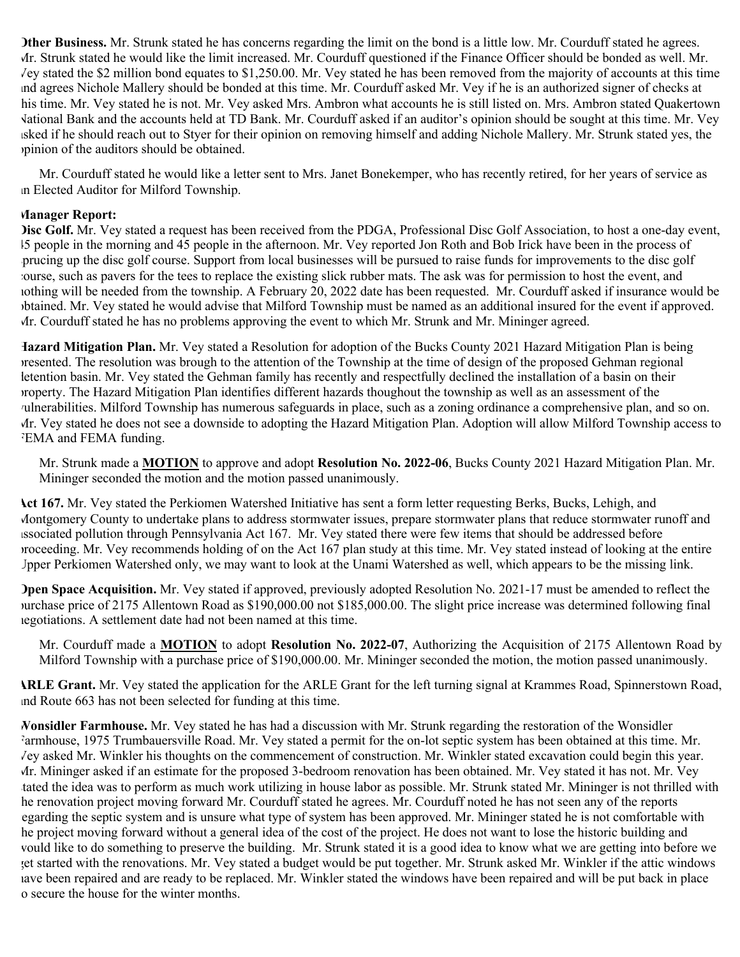**Other Business.** Mr. Strunk stated he has concerns regarding the limit on the bond is a little low. Mr. Courduff stated he agrees. Mr. Strunk stated he would like the limit increased. Mr. Courduff questioned if the Finance Officer should be bonded as well. Mr. Vey stated the \$2 million bond equates to \$1,250.00. Mr. Vey stated he has been removed from the majority of accounts at this time and agrees Nichole Mallery should be bonded at this time. Mr. Courduff asked Mr. Vey if he is an authorized signer of checks at his time. Mr. Vey stated he is not. Mr. Vey asked Mrs. Ambron what accounts he is still listed on. Mrs. Ambron stated Quakertown National Bank and the accounts held at TD Bank. Mr. Courduff asked if an auditor's opinion should be sought at this time. Mr. Vey asked if he should reach out to Styer for their opinion on removing himself and adding Nichole Mallery. Mr. Strunk stated yes, the opinion of the auditors should be obtained.

Mr. Courduff stated he would like a letter sent to Mrs. Janet Bonekemper, who has recently retired, for her years of service as an Elected Auditor for Milford Township.

#### **Manager Report:**

**Disc Golf.** Mr. Vey stated a request has been received from the PDGA, Professional Disc Golf Association, to host a one-day event, 45 people in the morning and 45 people in the afternoon. Mr. Vey reported Jon Roth and Bob Irick have been in the process of sprucing up the disc golf course. Support from local businesses will be pursued to raise funds for improvements to the disc golf course, such as pavers for the tees to replace the existing slick rubber mats. The ask was for permission to host the event, and nothing will be needed from the township. A February 20, 2022 date has been requested. Mr. Courduff asked if insurance would be obtained. Mr. Vey stated he would advise that Milford Township must be named as an additional insured for the event if approved. Mr. Courduff stated he has no problems approving the event to which Mr. Strunk and Mr. Mininger agreed.

**Hazard Mitigation Plan.** Mr. Vey stated a Resolution for adoption of the Bucks County 2021 Hazard Mitigation Plan is being presented. The resolution was brough to the attention of the Township at the time of design of the proposed Gehman regional detention basin. Mr. Vey stated the Gehman family has recently and respectfully declined the installation of a basin on their property. The Hazard Mitigation Plan identifies different hazards thoughout the township as well as an assessment of the vulnerabilities. Milford Township has numerous safeguards in place, such as a zoning ordinance a comprehensive plan, and so on. Mr. Vey stated he does not see a downside to adopting the Hazard Mitigation Plan. Adoption will allow Milford Township access to FEMA and FEMA funding.

Mr. Strunk made a **MOTION** to approve and adopt **Resolution No. 2022-06**, Bucks County 2021 Hazard Mitigation Plan. Mr. Mininger seconded the motion and the motion passed unanimously.

**Act 167.** Mr. Vey stated the Perkiomen Watershed Initiative has sent a form letter requesting Berks, Bucks, Lehigh, and Montgomery County to undertake plans to address stormwater issues, prepare stormwater plans that reduce stormwater runoff and associated pollution through Pennsylvania Act 167. Mr. Vey stated there were few items that should be addressed before proceeding. Mr. Vey recommends holding of on the Act 167 plan study at this time. Mr. Vey stated instead of looking at the entire Upper Perkiomen Watershed only, we may want to look at the Unami Watershed as well, which appears to be the missing link.

**Open Space Acquisition.** Mr. Vey stated if approved, previously adopted Resolution No. 2021-17 must be amended to reflect the purchase price of 2175 Allentown Road as \$190,000.00 not \$185,000.00. The slight price increase was determined following final negotiations. A settlement date had not been named at this time.

Mr. Courduff made a **MOTION** to adopt **Resolution No. 2022-07**, Authorizing the Acquisition of 2175 Allentown Road by Milford Township with a purchase price of \$190,000.00. Mr. Mininger seconded the motion, the motion passed unanimously.

**ARLE Grant.** Mr. Vey stated the application for the ARLE Grant for the left turning signal at Krammes Road, Spinnerstown Road, and Route 663 has not been selected for funding at this time.

**Wonsidler Farmhouse.** Mr. Vey stated he has had a discussion with Mr. Strunk regarding the restoration of the Wonsidler Farmhouse, 1975 Trumbauersville Road. Mr. Vey stated a permit for the on-lot septic system has been obtained at this time. Mr. Vey asked Mr. Winkler his thoughts on the commencement of construction. Mr. Winkler stated excavation could begin this year. Mr. Mininger asked if an estimate for the proposed 3-bedroom renovation has been obtained. Mr. Vey stated it has not. Mr. Vey tated the idea was to perform as much work utilizing in house labor as possible. Mr. Strunk stated Mr. Mininger is not thrilled with he renovation project moving forward Mr. Courduff stated he agrees. Mr. Courduff noted he has not seen any of the reports egarding the septic system and is unsure what type of system has been approved. Mr. Mininger stated he is not comfortable with the project moving forward without a general idea of the cost of the project. He does not want to lose the historic building and would like to do something to preserve the building. Mr. Strunk stated it is a good idea to know what we are getting into before we get started with the renovations. Mr. Vey stated a budget would be put together. Mr. Strunk asked Mr. Winkler if the attic windows have been repaired and are ready to be replaced. Mr. Winkler stated the windows have been repaired and will be put back in place o secure the house for the winter months.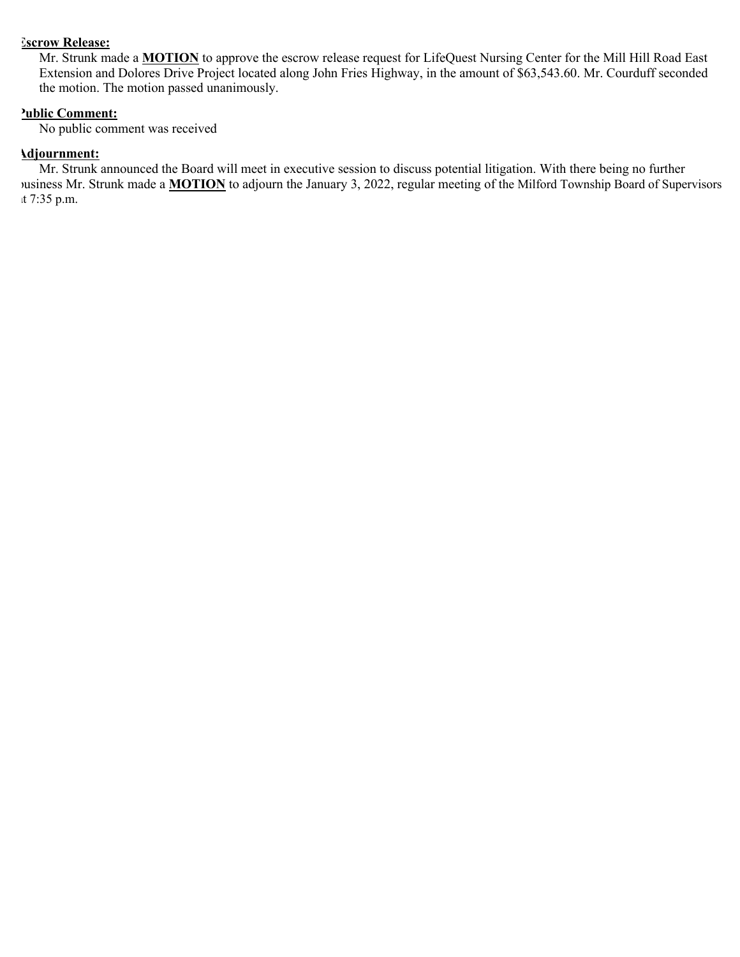### **Escrow Release:**

Mr. Strunk made a **MOTION** to approve the escrow release request for LifeQuest Nursing Center for the Mill Hill Road East Extension and Dolores Drive Project located along John Fries Highway, in the amount of \$63,543.60. Mr. Courduff seconded the motion. The motion passed unanimously.

## **Public Comment:**

No public comment was received

#### **Adjournment:**

Mr. Strunk announced the Board will meet in executive session to discuss potential litigation. With there being no further business Mr. Strunk made a **MOTION** to adjourn the January 3, 2022, regular meeting of the Milford Township Board of Supervisors at 7:35 p.m.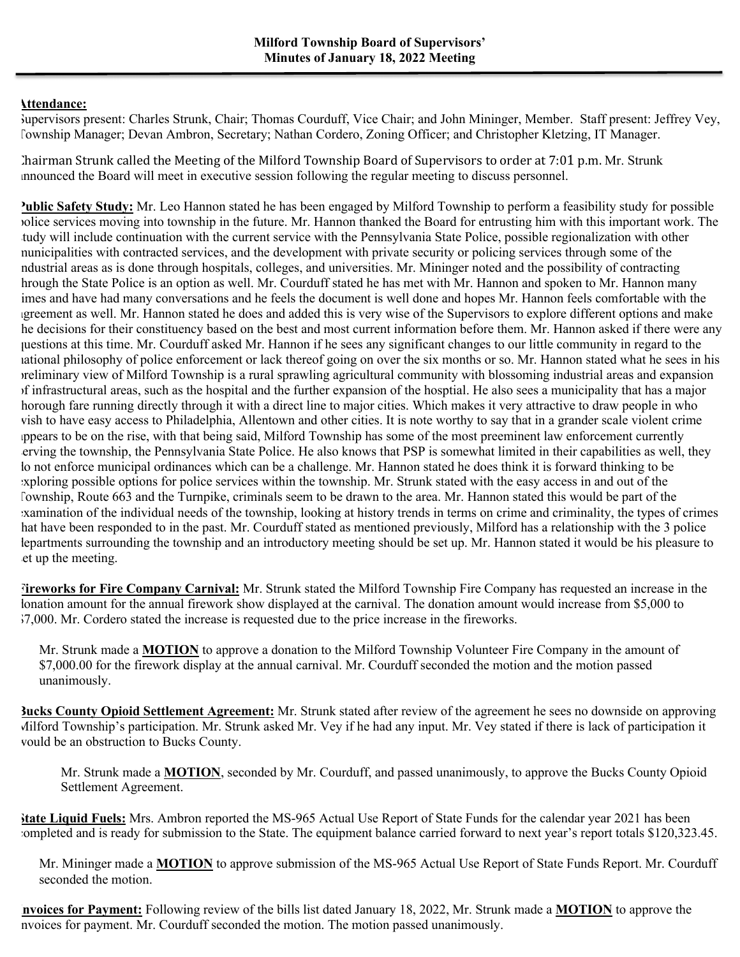## **Attendance:**

Supervisors present: Charles Strunk, Chair; Thomas Courduff, Vice Chair; and John Mininger, Member. Staff present: Jeffrey Vey, Township Manager; Devan Ambron, Secretary; Nathan Cordero, Zoning Officer; and Christopher Kletzing, IT Manager.

Chairman Strunk called the Meeting of the Milford Township Board of Supervisors to order at  $7:01$  p.m. Mr. Strunk announced the Board will meet in executive session following the regular meeting to discuss personnel.

**Public Safety Study:** Mr. Leo Hannon stated he has been engaged by Milford Township to perform a feasibility study for possible police services moving into township in the future. Mr. Hannon thanked the Board for entrusting him with this important work. The tudy will include continuation with the current service with the Pennsylvania State Police, possible regionalization with other municipalities with contracted services, and the development with private security or policing services through some of the industrial areas as is done through hospitals, colleges, and universities. Mr. Mininger noted and the possibility of contracting hrough the State Police is an option as well. Mr. Courduff stated he has met with Mr. Hannon and spoken to Mr. Hannon many imes and have had many conversations and he feels the document is well done and hopes Mr. Hannon feels comfortable with the agreement as well. Mr. Hannon stated he does and added this is very wise of the Supervisors to explore different options and make he decisions for their constituency based on the best and most current information before them. Mr. Hannon asked if there were any questions at this time. Mr. Courduff asked Mr. Hannon if he sees any significant changes to our little community in regard to the national philosophy of police enforcement or lack thereof going on over the six months or so. Mr. Hannon stated what he sees in his preliminary view of Milford Township is a rural sprawling agricultural community with blossoming industrial areas and expansion of infrastructural areas, such as the hospital and the further expansion of the hosptial. He also sees a municipality that has a major horough fare running directly through it with a direct line to major cities. Which makes it very attractive to draw people in who wish to have easy access to Philadelphia, Allentown and other cities. It is note worthy to say that in a grander scale violent crime appears to be on the rise, with that being said, Milford Township has some of the most preeminent law enforcement currently serving the township, the Pennsylvania State Police. He also knows that PSP is somewhat limited in their capabilities as well, they do not enforce municipal ordinances which can be a challenge. Mr. Hannon stated he does think it is forward thinking to be exploring possible options for police services within the township. Mr. Strunk stated with the easy access in and out of the Township, Route 663 and the Turnpike, criminals seem to be drawn to the area. Mr. Hannon stated this would be part of the examination of the individual needs of the township, looking at history trends in terms on crime and criminality, the types of crimes hat have been responded to in the past. Mr. Courduff stated as mentioned previously, Milford has a relationship with the 3 police departments surrounding the township and an introductory meeting should be set up. Mr. Hannon stated it would be his pleasure to et up the meeting.

**Fireworks for Fire Company Carnival:** Mr. Strunk stated the Milford Township Fire Company has requested an increase in the lonation amount for the annual firework show displayed at the carnival. The donation amount would increase from \$5,000 to \$7,000. Mr. Cordero stated the increase is requested due to the price increase in the fireworks.

Mr. Strunk made a **MOTION** to approve a donation to the Milford Township Volunteer Fire Company in the amount of \$7,000.00 for the firework display at the annual carnival. Mr. Courduff seconded the motion and the motion passed unanimously.

**Bucks County Opioid Settlement Agreement:** Mr. Strunk stated after review of the agreement he sees no downside on approving Milford Township's participation. Mr. Strunk asked Mr. Vey if he had any input. Mr. Vey stated if there is lack of participation it would be an obstruction to Bucks County.

Mr. Strunk made a **MOTION**, seconded by Mr. Courduff, and passed unanimously, to approve the Bucks County Opioid Settlement Agreement.

**State Liquid Fuels:** Mrs. Ambron reported the MS-965 Actual Use Report of State Funds for the calendar year 2021 has been completed and is ready for submission to the State. The equipment balance carried forward to next year's report totals \$120,323.45.

Mr. Mininger made a **MOTION** to approve submission of the MS-965 Actual Use Report of State Funds Report. Mr. Courduff seconded the motion.

**Invoices for Payment:** Following review of the bills list dated January 18, 2022, Mr. Strunk made a **MOTION** to approve the nvoices for payment. Mr. Courduff seconded the motion. The motion passed unanimously.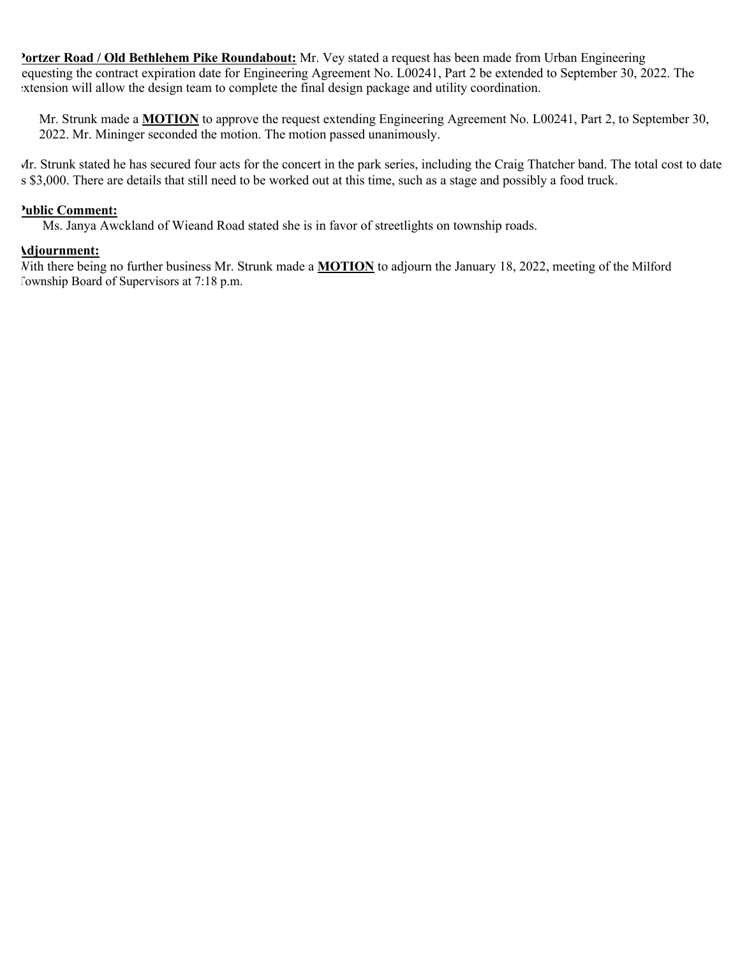**Portzer Road / Old Bethlehem Pike Roundabout:** Mr. Vey stated a request has been made from Urban Engineering requesting the contract expiration date for Engineering Agreement No. L00241, Part 2 be extended to September 30, 2022. The extension will allow the design team to complete the final design package and utility coordination.

Mr. Strunk made a **MOTION** to approve the request extending Engineering Agreement No. L00241, Part 2, to September 30, 2022. Mr. Mininger seconded the motion. The motion passed unanimously.

Mr. Strunk stated he has secured four acts for the concert in the park series, including the Craig Thatcher band. The total cost to date is \$3,000. There are details that still need to be worked out at this time, such as a stage and possibly a food truck.

#### **Public Comment:**

Ms. Janya Awckland of Wieand Road stated she is in favor of streetlights on township roads.

#### **Adjournment:**

With there being no further business Mr. Strunk made a **MOTION** to adjourn the January 18, 2022, meeting of the Milford Township Board of Supervisors at 7:18 p.m.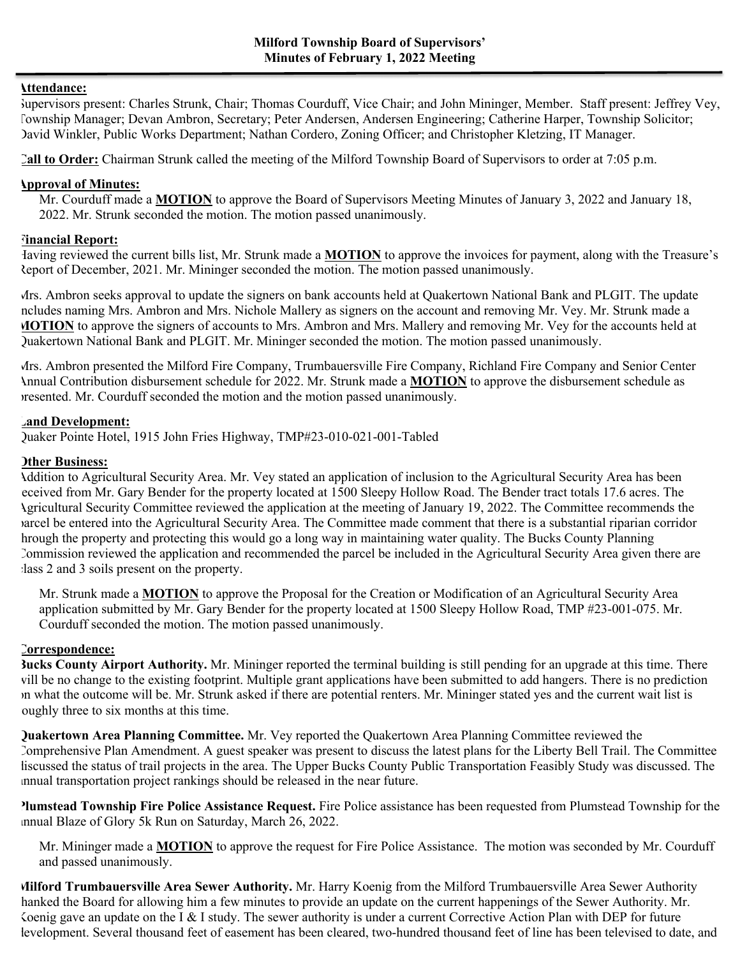#### **Attendance:**

Supervisors present: Charles Strunk, Chair; Thomas Courduff, Vice Chair; and John Mininger, Member. Staff present: Jeffrey Vey, Township Manager; Devan Ambron, Secretary; Peter Andersen, Andersen Engineering; Catherine Harper, Township Solicitor; David Winkler, Public Works Department; Nathan Cordero, Zoning Officer; and Christopher Kletzing, IT Manager.

**Call to Order:** Chairman Strunk called the meeting of the Milford Township Board of Supervisors to order at 7:05 p.m.

#### **Approval of Minutes:**

Mr. Courduff made a **MOTION** to approve the Board of Supervisors Meeting Minutes of January 3, 2022 and January 18, 2022. Mr. Strunk seconded the motion. The motion passed unanimously.

### **Financial Report:**

Having reviewed the current bills list, Mr. Strunk made a **MOTION** to approve the invoices for payment, along with the Treasure's Report of December, 2021. Mr. Mininger seconded the motion. The motion passed unanimously.

Mrs. Ambron seeks approval to update the signers on bank accounts held at Quakertown National Bank and PLGIT. The update ncludes naming Mrs. Ambron and Mrs. Nichole Mallery as signers on the account and removing Mr. Vey. Mr. Strunk made a **MOTION** to approve the signers of accounts to Mrs. Ambron and Mrs. Mallery and removing Mr. Vey for the accounts held at Quakertown National Bank and PLGIT. Mr. Mininger seconded the motion. The motion passed unanimously.

Mrs. Ambron presented the Milford Fire Company, Trumbauersville Fire Company, Richland Fire Company and Senior Center Annual Contribution disbursement schedule for 2022. Mr. Strunk made a **MOTION** to approve the disbursement schedule as presented. Mr. Courduff seconded the motion and the motion passed unanimously.

#### **Land Development:**

Quaker Pointe Hotel, 1915 John Fries Highway, TMP#23-010-021-001-Tabled

### **Other Business:**

Addition to Agricultural Security Area. Mr. Vey stated an application of inclusion to the Agricultural Security Area has been received from Mr. Gary Bender for the property located at 1500 Sleepy Hollow Road. The Bender tract totals 17.6 acres. The Agricultural Security Committee reviewed the application at the meeting of January 19, 2022. The Committee recommends the parcel be entered into the Agricultural Security Area. The Committee made comment that there is a substantial riparian corridor through the property and protecting this would go a long way in maintaining water quality. The Bucks County Planning Commission reviewed the application and recommended the parcel be included in the Agricultural Security Area given there are class 2 and 3 soils present on the property.

Mr. Strunk made a **MOTION** to approve the Proposal for the Creation or Modification of an Agricultural Security Area application submitted by Mr. Gary Bender for the property located at 1500 Sleepy Hollow Road, TMP #23-001-075. Mr. Courduff seconded the motion. The motion passed unanimously.

#### **Correspondence:**

**Bucks County Airport Authority.** Mr. Mininger reported the terminal building is still pending for an upgrade at this time. There will be no change to the existing footprint. Multiple grant applications have been submitted to add hangers. There is no prediction on what the outcome will be. Mr. Strunk asked if there are potential renters. Mr. Mininger stated yes and the current wait list is oughly three to six months at this time.

**Quakertown Area Planning Committee.** Mr. Vey reported the Quakertown Area Planning Committee reviewed the Comprehensive Plan Amendment. A guest speaker was present to discuss the latest plans for the Liberty Bell Trail. The Committee liscussed the status of trail projects in the area. The Upper Bucks County Public Transportation Feasibly Study was discussed. The annual transportation project rankings should be released in the near future.

**Plumstead Township Fire Police Assistance Request.** Fire Police assistance has been requested from Plumstead Township for the annual Blaze of Glory 5k Run on Saturday, March 26, 2022.

Mr. Mininger made a **MOTION** to approve the request for Fire Police Assistance. The motion was seconded by Mr. Courduff and passed unanimously.

**Milford Trumbauersville Area Sewer Authority.** Mr. Harry Koenig from the Milford Trumbauersville Area Sewer Authority hanked the Board for allowing him a few minutes to provide an update on the current happenings of the Sewer Authority. Mr. Koenig gave an update on the I & I study. The sewer authority is under a current Corrective Action Plan with DEP for future levelopment. Several thousand feet of easement has been cleared, two-hundred thousand feet of line has been televised to date, and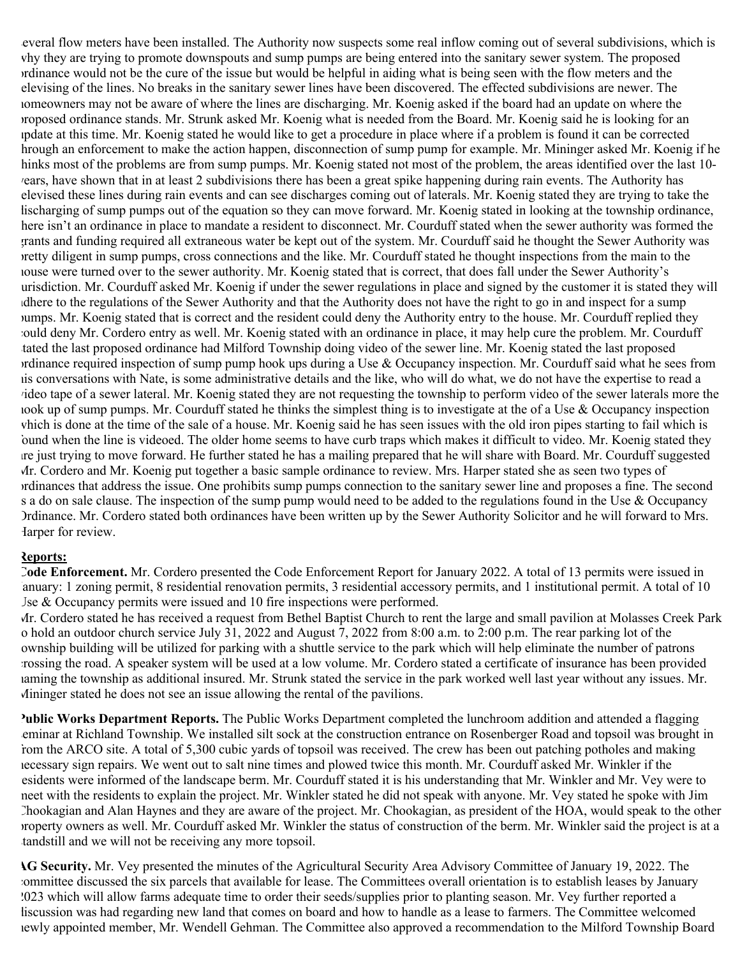several flow meters have been installed. The Authority now suspects some real inflow coming out of several subdivisions, which is why they are trying to promote downspouts and sump pumps are being entered into the sanitary sewer system. The proposed ordinance would not be the cure of the issue but would be helpful in aiding what is being seen with the flow meters and the elevising of the lines. No breaks in the sanitary sewer lines have been discovered. The effected subdivisions are newer. The homeowners may not be aware of where the lines are discharging. Mr. Koenig asked if the board had an update on where the proposed ordinance stands. Mr. Strunk asked Mr. Koenig what is needed from the Board. Mr. Koenig said he is looking for an update at this time. Mr. Koenig stated he would like to get a procedure in place where if a problem is found it can be corrected hrough an enforcement to make the action happen, disconnection of sump pump for example. Mr. Mininger asked Mr. Koenig if he hinks most of the problems are from sump pumps. Mr. Koenig stated not most of the problem, the areas identified over the last 10years, have shown that in at least 2 subdivisions there has been a great spike happening during rain events. The Authority has televised these lines during rain events and can see discharges coming out of laterals. Mr. Koenig stated they are trying to take the lischarging of sump pumps out of the equation so they can move forward. Mr. Koenig stated in looking at the township ordinance, here isn't an ordinance in place to mandate a resident to disconnect. Mr. Courduff stated when the sewer authority was formed the grants and funding required all extraneous water be kept out of the system. Mr. Courduff said he thought the Sewer Authority was pretty diligent in sump pumps, cross connections and the like. Mr. Courduff stated he thought inspections from the main to the house were turned over to the sewer authority. Mr. Koenig stated that is correct, that does fall under the Sewer Authority's jurisdiction. Mr. Courduff asked Mr. Koenig if under the sewer regulations in place and signed by the customer it is stated they will adhere to the regulations of the Sewer Authority and that the Authority does not have the right to go in and inspect for a sump pumps. Mr. Koenig stated that is correct and the resident could deny the Authority entry to the house. Mr. Courduff replied they could deny Mr. Cordero entry as well. Mr. Koenig stated with an ordinance in place, it may help cure the problem. Mr. Courduff stated the last proposed ordinance had Milford Township doing video of the sewer line. Mr. Koenig stated the last proposed ordinance required inspection of sump pump hook ups during a Use  $\&$  Occupancy inspection. Mr. Courduff said what he sees from his conversations with Nate, is some administrative details and the like, who will do what, we do not have the expertise to read a video tape of a sewer lateral. Mr. Koenig stated they are not requesting the township to perform video of the sewer laterals more the hook up of sump pumps. Mr. Courduff stated he thinks the simplest thing is to investigate at the of a Use  $\&$  Occupancy inspection which is done at the time of the sale of a house. Mr. Koenig said he has seen issues with the old iron pipes starting to fail which is found when the line is videoed. The older home seems to have curb traps which makes it difficult to video. Mr. Koenig stated they are just trying to move forward. He further stated he has a mailing prepared that he will share with Board. Mr. Courduff suggested Mr. Cordero and Mr. Koenig put together a basic sample ordinance to review. Mrs. Harper stated she as seen two types of ordinances that address the issue. One prohibits sump pumps connection to the sanitary sewer line and proposes a fine. The second s a do on sale clause. The inspection of the sump pump would need to be added to the regulations found in the Use & Occupancy Ordinance. Mr. Cordero stated both ordinances have been written up by the Sewer Authority Solicitor and he will forward to Mrs. Harper for review.

## **Reports:**

**Code Enforcement.** Mr. Cordero presented the Code Enforcement Report for January 2022. A total of 13 permits were issued in January: 1 zoning permit, 8 residential renovation permits, 3 residential accessory permits, and 1 institutional permit. A total of 10 Jse  $&$  Occupancy permits were issued and 10 fire inspections were performed.

Mr. Cordero stated he has received a request from Bethel Baptist Church to rent the large and small pavilion at Molasses Creek Park to hold an outdoor church service July 31, 2022 and August 7, 2022 from 8:00 a.m. to 2:00 p.m. The rear parking lot of the ownship building will be utilized for parking with a shuttle service to the park which will help eliminate the number of patrons crossing the road. A speaker system will be used at a low volume. Mr. Cordero stated a certificate of insurance has been provided naming the township as additional insured. Mr. Strunk stated the service in the park worked well last year without any issues. Mr. Mininger stated he does not see an issue allowing the rental of the pavilions.

**Public Works Department Reports.** The Public Works Department completed the lunchroom addition and attended a flagging seminar at Richland Township. We installed silt sock at the construction entrance on Rosenberger Road and topsoil was brought in from the ARCO site. A total of 5,300 cubic yards of topsoil was received. The crew has been out patching potholes and making necessary sign repairs. We went out to salt nine times and plowed twice this month. Mr. Courduff asked Mr. Winkler if the esidents were informed of the landscape berm. Mr. Courduff stated it is his understanding that Mr. Winkler and Mr. Vey were to meet with the residents to explain the project. Mr. Winkler stated he did not speak with anyone. Mr. Vey stated he spoke with Jim Chookagian and Alan Haynes and they are aware of the project. Mr. Chookagian, as president of the HOA, would speak to the other property owners as well. Mr. Courduff asked Mr. Winkler the status of construction of the berm. Mr. Winkler said the project is at a tandstill and we will not be receiving any more topsoil.

**AG Security.** Mr. Vey presented the minutes of the Agricultural Security Area Advisory Committee of January 19, 2022. The committee discussed the six parcels that available for lease. The Committees overall orientation is to establish leases by January 2023 which will allow farms adequate time to order their seeds/supplies prior to planting season. Mr. Vey further reported a liscussion was had regarding new land that comes on board and how to handle as a lease to farmers. The Committee welcomed newly appointed member, Mr. Wendell Gehman. The Committee also approved a recommendation to the Milford Township Board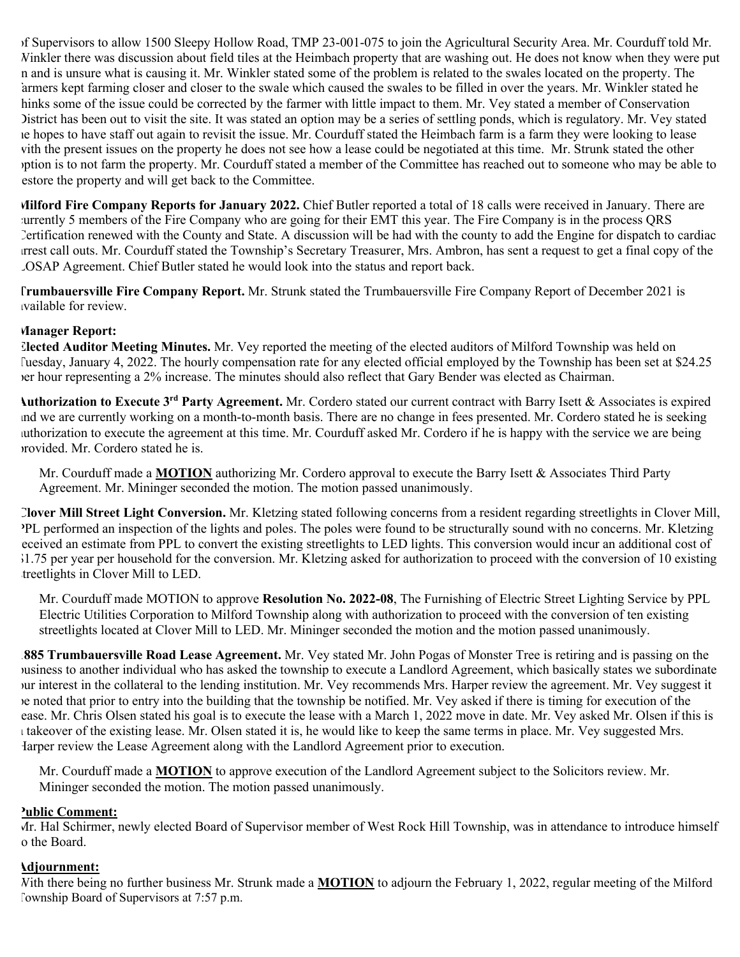of Supervisors to allow 1500 Sleepy Hollow Road, TMP 23-001-075 to join the Agricultural Security Area. Mr. Courduff told Mr. Winkler there was discussion about field tiles at the Heimbach property that are washing out. He does not know when they were put in and is unsure what is causing it. Mr. Winkler stated some of the problem is related to the swales located on the property. The farmers kept farming closer and closer to the swale which caused the swales to be filled in over the years. Mr. Winkler stated he hinks some of the issue could be corrected by the farmer with little impact to them. Mr. Vey stated a member of Conservation District has been out to visit the site. It was stated an option may be a series of settling ponds, which is regulatory. Mr. Vey stated he hopes to have staff out again to revisit the issue. Mr. Courduff stated the Heimbach farm is a farm they were looking to lease with the present issues on the property he does not see how a lease could be negotiated at this time. Mr. Strunk stated the other option is to not farm the property. Mr. Courduff stated a member of the Committee has reached out to someone who may be able to estore the property and will get back to the Committee.

**Milford Fire Company Reports for January 2022.** Chief Butler reported a total of 18 calls were received in January. There are currently 5 members of the Fire Company who are going for their EMT this year. The Fire Company is in the process QRS Certification renewed with the County and State. A discussion will be had with the county to add the Engine for dispatch to cardiac arrest call outs. Mr. Courduff stated the Township's Secretary Treasurer, Mrs. Ambron, has sent a request to get a final copy of the LOSAP Agreement. Chief Butler stated he would look into the status and report back.

**Trumbauersville Fire Company Report.** Mr. Strunk stated the Trumbauersville Fire Company Report of December 2021 is available for review.

### **Manager Report:**

**Elected Auditor Meeting Minutes.** Mr. Vey reported the meeting of the elected auditors of Milford Township was held on Tuesday, January 4, 2022. The hourly compensation rate for any elected official employed by the Township has been set at \$24.25 per hour representing a 2% increase. The minutes should also reflect that Gary Bender was elected as Chairman.

**Authorization to Execute 3rd Party Agreement.** Mr. Cordero stated our current contract with Barry Isett & Associates is expired and we are currently working on a month-to-month basis. There are no change in fees presented. Mr. Cordero stated he is seeking authorization to execute the agreement at this time. Mr. Courduff asked Mr. Cordero if he is happy with the service we are being provided. Mr. Cordero stated he is.

Mr. Courduff made a **MOTION** authorizing Mr. Cordero approval to execute the Barry Isett & Associates Third Party Agreement. Mr. Mininger seconded the motion. The motion passed unanimously.

**Clover Mill Street Light Conversion.** Mr. Kletzing stated following concerns from a resident regarding streetlights in Clover Mill, PPL performed an inspection of the lights and poles. The poles were found to be structurally sound with no concerns. Mr. Kletzing received an estimate from PPL to convert the existing streetlights to LED lights. This conversion would incur an additional cost of \$1.75 per year per household for the conversion. Mr. Kletzing asked for authorization to proceed with the conversion of 10 existing treetlights in Clover Mill to LED.

Mr. Courduff made MOTION to approve **Resolution No. 2022-08**, The Furnishing of Electric Street Lighting Service by PPL Electric Utilities Corporation to Milford Township along with authorization to proceed with the conversion of ten existing streetlights located at Clover Mill to LED. Mr. Mininger seconded the motion and the motion passed unanimously.

**1885 Trumbauersville Road Lease Agreement.** Mr. Vey stated Mr. John Pogas of Monster Tree is retiring and is passing on the business to another individual who has asked the township to execute a Landlord Agreement, which basically states we subordinate our interest in the collateral to the lending institution. Mr. Vey recommends Mrs. Harper review the agreement. Mr. Vey suggest it be noted that prior to entry into the building that the township be notified. Mr. Vey asked if there is timing for execution of the lease. Mr. Chris Olsen stated his goal is to execute the lease with a March 1, 2022 move in date. Mr. Vey asked Mr. Olsen if this is a takeover of the existing lease. Mr. Olsen stated it is, he would like to keep the same terms in place. Mr. Vey suggested Mrs. Harper review the Lease Agreement along with the Landlord Agreement prior to execution.

Mr. Courduff made a **MOTION** to approve execution of the Landlord Agreement subject to the Solicitors review. Mr. Mininger seconded the motion. The motion passed unanimously.

#### **Public Comment:**

Mr. Hal Schirmer, newly elected Board of Supervisor member of West Rock Hill Township, was in attendance to introduce himself o the Board.

#### **Adjournment:**

With there being no further business Mr. Strunk made a **MOTION** to adjourn the February 1, 2022, regular meeting of the Milford Township Board of Supervisors at 7:57 p.m.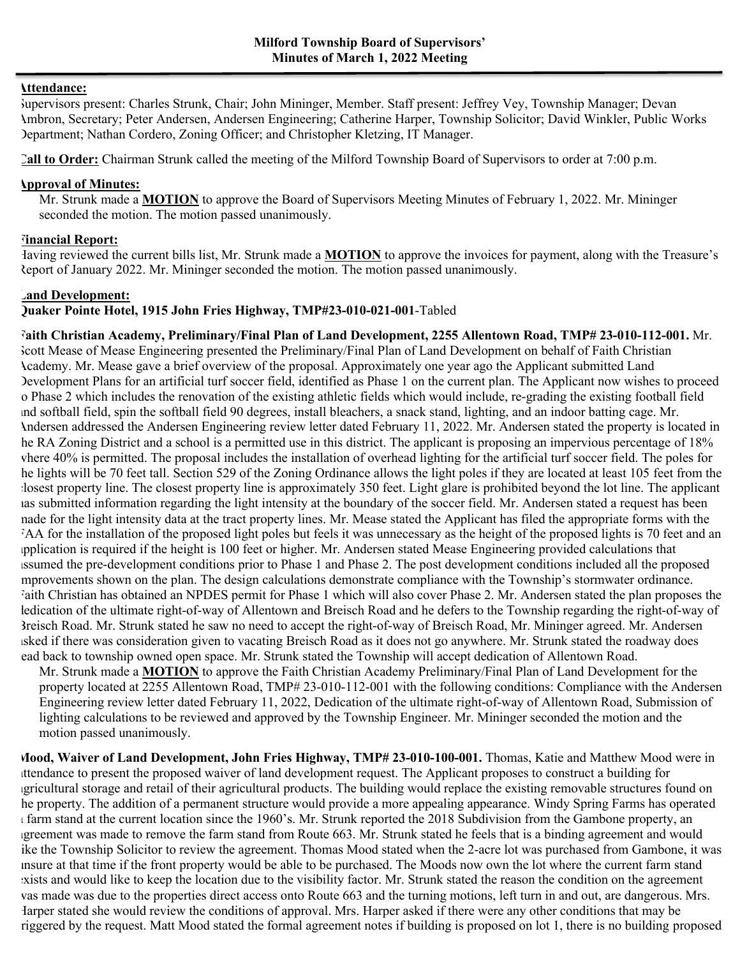#### **Attendance:**

Supervisors present: Charles Strunk, Chair; John Mininger, Member. Staff present: Jeffrey Vey, Township Manager; Devan Ambron, Secretary; Peter Andersen, Andersen Engineering; Catherine Harper, Township Solicitor; David Winkler, Public Works Department; Nathan Cordero, Zoning Officer; and Christopher Kletzing, IT Manager.

**Call to Order:** Chairman Strunk called the meeting of the Milford Township Board of Supervisors to order at 7:00 p.m.

#### **Approval of Minutes:**

Mr. Strunk made a **MOTION** to approve the Board of Supervisors Meeting Minutes of February 1, 2022. Mr. Mininger seconded the motion. The motion passed unanimously.

### **Financial Report:**

Having reviewed the current bills list, Mr. Strunk made a **MOTION** to approve the invoices for payment, along with the Treasure's Report of January 2022. Mr. Mininger seconded the motion. The motion passed unanimously.

### **Land Development:**

## **Quaker Pointe Hotel, 1915 John Fries Highway, TMP#23-010-021-001**-Tabled

**Faith Christian Academy, Preliminary/Final Plan of Land Development, 2255 Allentown Road, TMP# 23-010-112-001.** Mr. Scott Mease of Mease Engineering presented the Preliminary/Final Plan of Land Development on behalf of Faith Christian Academy. Mr. Mease gave a brief overview of the proposal. Approximately one year ago the Applicant submitted Land Development Plans for an artificial turf soccer field, identified as Phase 1 on the current plan. The Applicant now wishes to proceed to Phase 2 which includes the renovation of the existing athletic fields which would include, re-grading the existing football field and softball field, spin the softball field 90 degrees, install bleachers, a snack stand, lighting, and an indoor batting cage. Mr. Andersen addressed the Andersen Engineering review letter dated February 11, 2022. Mr. Andersen stated the property is located in he RA Zoning District and a school is a permitted use in this district. The applicant is proposing an impervious percentage of 18% where 40% is permitted. The proposal includes the installation of overhead lighting for the artificial turf soccer field. The poles for he lights will be 70 feet tall. Section 529 of the Zoning Ordinance allows the light poles if they are located at least 105 feet from the closest property line. The closest property line is approximately 350 feet. Light glare is prohibited beyond the lot line. The applicant has submitted information regarding the light intensity at the boundary of the soccer field. Mr. Andersen stated a request has been made for the light intensity data at the tract property lines. Mr. Mease stated the Applicant has filed the appropriate forms with the A for the installation of the proposed light poles but feels it was unnecessary as the height of the proposed lights is 70 feet and an application is required if the height is 100 feet or higher. Mr. Andersen stated Mease Engineering provided calculations that assumed the pre-development conditions prior to Phase 1 and Phase 2. The post development conditions included all the proposed mprovements shown on the plan. The design calculations demonstrate compliance with the Township's stormwater ordinance. Faith Christian has obtained an NPDES permit for Phase 1 which will also cover Phase 2. Mr. Andersen stated the plan proposes the ledication of the ultimate right-of-way of Allentown and Breisch Road and he defers to the Township regarding the right-of-way of Breisch Road. Mr. Strunk stated he saw no need to accept the right-of-way of Breisch Road, Mr. Mininger agreed. Mr. Andersen asked if there was consideration given to vacating Breisch Road as it does not go anywhere. Mr. Strunk stated the roadway does ead back to township owned open space. Mr. Strunk stated the Township will accept dedication of Allentown Road.

Mr. Strunk made a **MOTION** to approve the Faith Christian Academy Preliminary/Final Plan of Land Development for the property located at 2255 Allentown Road, TMP# 23-010-112-001 with the following conditions: Compliance with the Andersen Engineering review letter dated February 11, 2022, Dedication of the ultimate right-of-way of Allentown Road, Submission of lighting calculations to be reviewed and approved by the Township Engineer. Mr. Mininger seconded the motion and the motion passed unanimously.

**Mood, Waiver of Land Development, John Fries Highway, TMP# 23-010-100-001.** Thomas, Katie and Matthew Mood were in attendance to present the proposed waiver of land development request. The Applicant proposes to construct a building for agricultural storage and retail of their agricultural products. The building would replace the existing removable structures found on he property. The addition of a permanent structure would provide a more appealing appearance. Windy Spring Farms has operated a farm stand at the current location since the 1960's. Mr. Strunk reported the 2018 Subdivision from the Gambone property, an agreement was made to remove the farm stand from Route 663. Mr. Strunk stated he feels that is a binding agreement and would like the Township Solicitor to review the agreement. Thomas Mood stated when the 2-acre lot was purchased from Gambone, it was unsure at that time if the front property would be able to be purchased. The Moods now own the lot where the current farm stand exists and would like to keep the location due to the visibility factor. Mr. Strunk stated the reason the condition on the agreement was made was due to the properties direct access onto Route 663 and the turning motions, left turn in and out, are dangerous. Mrs. Harper stated she would review the conditions of approval. Mrs. Harper asked if there were any other conditions that may be triggered by the request. Matt Mood stated the formal agreement notes if building is proposed on lot 1, there is no building proposed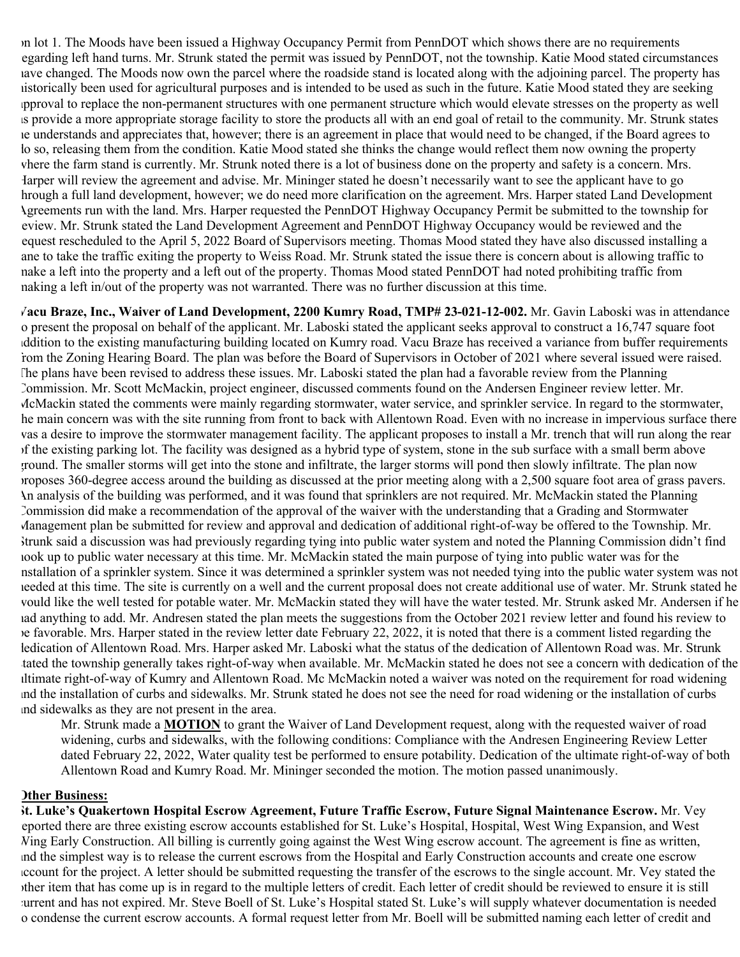on lot 1. The Moods have been issued a Highway Occupancy Permit from PennDOT which shows there are no requirements regarding left hand turns. Mr. Strunk stated the permit was issued by PennDOT, not the township. Katie Mood stated circumstances have changed. The Moods now own the parcel where the roadside stand is located along with the adjoining parcel. The property has historically been used for agricultural purposes and is intended to be used as such in the future. Katie Mood stated they are seeking approval to replace the non-permanent structures with one permanent structure which would elevate stresses on the property as well as provide a more appropriate storage facility to store the products all with an end goal of retail to the community. Mr. Strunk states he understands and appreciates that, however; there is an agreement in place that would need to be changed, if the Board agrees to lo so, releasing them from the condition. Katie Mood stated she thinks the change would reflect them now owning the property where the farm stand is currently. Mr. Strunk noted there is a lot of business done on the property and safety is a concern. Mrs. Harper will review the agreement and advise. Mr. Mininger stated he doesn't necessarily want to see the applicant have to go hrough a full land development, however; we do need more clarification on the agreement. Mrs. Harper stated Land Development Agreements run with the land. Mrs. Harper requested the PennDOT Highway Occupancy Permit be submitted to the township for eview. Mr. Strunk stated the Land Development Agreement and PennDOT Highway Occupancy would be reviewed and the request rescheduled to the April 5, 2022 Board of Supervisors meeting. Thomas Mood stated they have also discussed installing a ane to take the traffic exiting the property to Weiss Road. Mr. Strunk stated the issue there is concern about is allowing traffic to make a left into the property and a left out of the property. Thomas Mood stated PennDOT had noted prohibiting traffic from making a left in/out of the property was not warranted. There was no further discussion at this time.

**Vacu Braze, Inc., Waiver of Land Development, 2200 Kumry Road, TMP# 23-021-12-002.** Mr. Gavin Laboski was in attendance to present the proposal on behalf of the applicant. Mr. Laboski stated the applicant seeks approval to construct a 16,747 square foot addition to the existing manufacturing building located on Kumry road. Vacu Braze has received a variance from buffer requirements from the Zoning Hearing Board. The plan was before the Board of Supervisors in October of 2021 where several issued were raised. The plans have been revised to address these issues. Mr. Laboski stated the plan had a favorable review from the Planning Commission. Mr. Scott McMackin, project engineer, discussed comments found on the Andersen Engineer review letter. Mr. McMackin stated the comments were mainly regarding stormwater, water service, and sprinkler service. In regard to the stormwater, he main concern was with the site running from front to back with Allentown Road. Even with no increase in impervious surface there was a desire to improve the stormwater management facility. The applicant proposes to install a Mr. trench that will run along the rear of the existing parking lot. The facility was designed as a hybrid type of system, stone in the sub surface with a small berm above ground. The smaller storms will get into the stone and infiltrate, the larger storms will pond then slowly infiltrate. The plan now proposes 360-degree access around the building as discussed at the prior meeting along with a 2,500 square foot area of grass pavers. An analysis of the building was performed, and it was found that sprinklers are not required. Mr. McMackin stated the Planning Commission did make a recommendation of the approval of the waiver with the understanding that a Grading and Stormwater Management plan be submitted for review and approval and dedication of additional right-of-way be offered to the Township. Mr. Strunk said a discussion was had previously regarding tying into public water system and noted the Planning Commission didn't find hook up to public water necessary at this time. Mr. McMackin stated the main purpose of tying into public water was for the nstallation of a sprinkler system. Since it was determined a sprinkler system was not needed tying into the public water system was not needed at this time. The site is currently on a well and the current proposal does not create additional use of water. Mr. Strunk stated he would like the well tested for potable water. Mr. McMackin stated they will have the water tested. Mr. Strunk asked Mr. Andersen if he had anything to add. Mr. Andresen stated the plan meets the suggestions from the October 2021 review letter and found his review to be favorable. Mrs. Harper stated in the review letter date February 22, 2022, it is noted that there is a comment listed regarding the ledication of Allentown Road. Mrs. Harper asked Mr. Laboski what the status of the dedication of Allentown Road was. Mr. Strunk tated the township generally takes right-of-way when available. Mr. McMackin stated he does not see a concern with dedication of the ultimate right-of-way of Kumry and Allentown Road. Mc McMackin noted a waiver was noted on the requirement for road widening and the installation of curbs and sidewalks. Mr. Strunk stated he does not see the need for road widening or the installation of curbs and sidewalks as they are not present in the area.

Mr. Strunk made a **MOTION** to grant the Waiver of Land Development request, along with the requested waiver of road widening, curbs and sidewalks, with the following conditions: Compliance with the Andresen Engineering Review Letter dated February 22, 2022, Water quality test be performed to ensure potability. Dedication of the ultimate right-of-way of both Allentown Road and Kumry Road. Mr. Mininger seconded the motion. The motion passed unanimously.

#### **Other Business:**

**St. Luke's Quakertown Hospital Escrow Agreement, Future Traffic Escrow, Future Signal Maintenance Escrow.** Mr. Vey reported there are three existing escrow accounts established for St. Luke's Hospital, Hospital, West Wing Expansion, and West Wing Early Construction. All billing is currently going against the West Wing escrow account. The agreement is fine as written, and the simplest way is to release the current escrows from the Hospital and Early Construction accounts and create one escrow account for the project. A letter should be submitted requesting the transfer of the escrows to the single account. Mr. Vey stated the other item that has come up is in regard to the multiple letters of credit. Each letter of credit should be reviewed to ensure it is still current and has not expired. Mr. Steve Boell of St. Luke's Hospital stated St. Luke's will supply whatever documentation is needed o condense the current escrow accounts. A formal request letter from Mr. Boell will be submitted naming each letter of credit and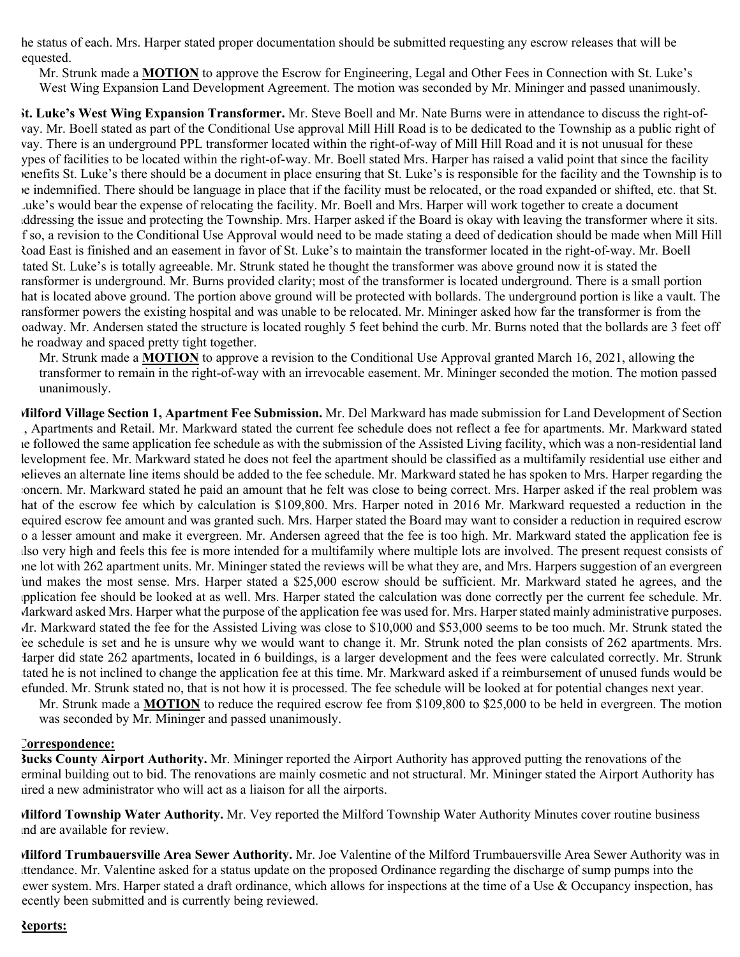he status of each. Mrs. Harper stated proper documentation should be submitted requesting any escrow releases that will be equested.

Mr. Strunk made a **MOTION** to approve the Escrow for Engineering, Legal and Other Fees in Connection with St. Luke's West Wing Expansion Land Development Agreement. The motion was seconded by Mr. Mininger and passed unanimously.

**St. Luke's West Wing Expansion Transformer.** Mr. Steve Boell and Mr. Nate Burns were in attendance to discuss the right-ofway. Mr. Boell stated as part of the Conditional Use approval Mill Hill Road is to be dedicated to the Township as a public right of way. There is an underground PPL transformer located within the right-of-way of Mill Hill Road and it is not unusual for these ypes of facilities to be located within the right-of-way. Mr. Boell stated Mrs. Harper has raised a valid point that since the facility benefits St. Luke's there should be a document in place ensuring that St. Luke's is responsible for the facility and the Township is to be indemnified. There should be language in place that if the facility must be relocated, or the road expanded or shifted, etc. that St. Luke's would bear the expense of relocating the facility. Mr. Boell and Mrs. Harper will work together to create a document addressing the issue and protecting the Township. Mrs. Harper asked if the Board is okay with leaving the transformer where it sits. If so, a revision to the Conditional Use Approval would need to be made stating a deed of dedication should be made when Mill Hill Road East is finished and an easement in favor of St. Luke's to maintain the transformer located in the right-of-way. Mr. Boell tated St. Luke's is totally agreeable. Mr. Strunk stated he thought the transformer was above ground now it is stated the ransformer is underground. Mr. Burns provided clarity; most of the transformer is located underground. There is a small portion hat is located above ground. The portion above ground will be protected with bollards. The underground portion is like a vault. The ransformer powers the existing hospital and was unable to be relocated. Mr. Mininger asked how far the transformer is from the roadway. Mr. Andersen stated the structure is located roughly 5 feet behind the curb. Mr. Burns noted that the bollards are 3 feet off he roadway and spaced pretty tight together.

Mr. Strunk made a **MOTION** to approve a revision to the Conditional Use Approval granted March 16, 2021, allowing the transformer to remain in the right-of-way with an irrevocable easement. Mr. Mininger seconded the motion. The motion passed unanimously.

**Milford Village Section 1, Apartment Fee Submission.** Mr. Del Markward has made submission for Land Development of Section 1, Apartments and Retail. Mr. Markward stated the current fee schedule does not reflect a fee for apartments. Mr. Markward stated he followed the same application fee schedule as with the submission of the Assisted Living facility, which was a non-residential land levelopment fee. Mr. Markward stated he does not feel the apartment should be classified as a multifamily residential use either and believes an alternate line items should be added to the fee schedule. Mr. Markward stated he has spoken to Mrs. Harper regarding the concern. Mr. Markward stated he paid an amount that he felt was close to being correct. Mrs. Harper asked if the real problem was hat of the escrow fee which by calculation is \$109,800. Mrs. Harper noted in 2016 Mr. Markward requested a reduction in the required escrow fee amount and was granted such. Mrs. Harper stated the Board may want to consider a reduction in required escrow to a lesser amount and make it evergreen. Mr. Andersen agreed that the fee is too high. Mr. Markward stated the application fee is also very high and feels this fee is more intended for a multifamily where multiple lots are involved. The present request consists of one lot with 262 apartment units. Mr. Mininger stated the reviews will be what they are, and Mrs. Harpers suggestion of an evergreen fund makes the most sense. Mrs. Harper stated a \$25,000 escrow should be sufficient. Mr. Markward stated he agrees, and the application fee should be looked at as well. Mrs. Harper stated the calculation was done correctly per the current fee schedule. Mr. Markward asked Mrs. Harper what the purpose of the application fee was used for. Mrs. Harper stated mainly administrative purposes. Mr. Markward stated the fee for the Assisted Living was close to \$10,000 and \$53,000 seems to be too much. Mr. Strunk stated the fee schedule is set and he is unsure why we would want to change it. Mr. Strunk noted the plan consists of 262 apartments. Mrs. Harper did state 262 apartments, located in 6 buildings, is a larger development and the fees were calculated correctly. Mr. Strunk tated he is not inclined to change the application fee at this time. Mr. Markward asked if a reimbursement of unused funds would be refunded. Mr. Strunk stated no, that is not how it is processed. The fee schedule will be looked at for potential changes next year.

Mr. Strunk made a **MOTION** to reduce the required escrow fee from \$109,800 to \$25,000 to be held in evergreen. The motion was seconded by Mr. Mininger and passed unanimously.

#### **Correspondence:**

**Bucks County Airport Authority.** Mr. Mininger reported the Airport Authority has approved putting the renovations of the terminal building out to bid. The renovations are mainly cosmetic and not structural. Mr. Mininger stated the Airport Authority has hired a new administrator who will act as a liaison for all the airports.

**Milford Township Water Authority.** Mr. Vey reported the Milford Township Water Authority Minutes cover routine business and are available for review.

**Milford Trumbauersville Area Sewer Authority.** Mr. Joe Valentine of the Milford Trumbauersville Area Sewer Authority was in attendance. Mr. Valentine asked for a status update on the proposed Ordinance regarding the discharge of sump pumps into the ewer system. Mrs. Harper stated a draft ordinance, which allows for inspections at the time of a Use  $\&$  Occupancy inspection, has ecently been submitted and is currently being reviewed.

#### **Reports:**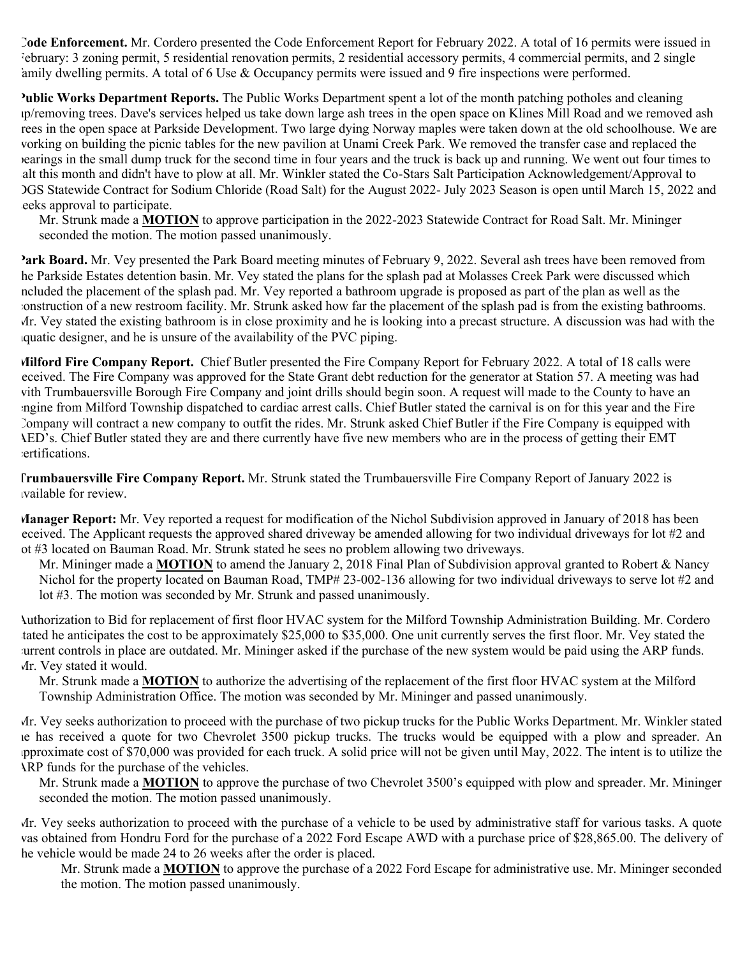**Code Enforcement.** Mr. Cordero presented the Code Enforcement Report for February 2022. A total of 16 permits were issued in February: 3 zoning permit, 5 residential renovation permits, 2 residential accessory permits, 4 commercial permits, and 2 single amily dwelling permits. A total of 6 Use  $\&$  Occupancy permits were issued and 9 fire inspections were performed.

**Public Works Department Reports.** The Public Works Department spent a lot of the month patching potholes and cleaning up/removing trees. Dave's services helped us take down large ash trees in the open space on Klines Mill Road and we removed ash trees in the open space at Parkside Development. Two large dying Norway maples were taken down at the old schoolhouse. We are working on building the picnic tables for the new pavilion at Unami Creek Park. We removed the transfer case and replaced the bearings in the small dump truck for the second time in four years and the truck is back up and running. We went out four times to salt this month and didn't have to plow at all. Mr. Winkler stated the Co-Stars Salt Participation Acknowledgement/Approval to DGS Statewide Contract for Sodium Chloride (Road Salt) for the August 2022- July 2023 Season is open until March 15, 2022 and eeks approval to participate.

Mr. Strunk made a **MOTION** to approve participation in the 2022-2023 Statewide Contract for Road Salt. Mr. Mininger seconded the motion. The motion passed unanimously.

**Park Board.** Mr. Vey presented the Park Board meeting minutes of February 9, 2022. Several ash trees have been removed from he Parkside Estates detention basin. Mr. Vey stated the plans for the splash pad at Molasses Creek Park were discussed which ncluded the placement of the splash pad. Mr. Vey reported a bathroom upgrade is proposed as part of the plan as well as the construction of a new restroom facility. Mr. Strunk asked how far the placement of the splash pad is from the existing bathrooms. Mr. Vey stated the existing bathroom is in close proximity and he is looking into a precast structure. A discussion was had with the aquatic designer, and he is unsure of the availability of the PVC piping.

**Milford Fire Company Report.** Chief Butler presented the Fire Company Report for February 2022. A total of 18 calls were received. The Fire Company was approved for the State Grant debt reduction for the generator at Station 57. A meeting was had with Trumbauersville Borough Fire Company and joint drills should begin soon. A request will made to the County to have an engine from Milford Township dispatched to cardiac arrest calls. Chief Butler stated the carnival is on for this year and the Fire Company will contract a new company to outfit the rides. Mr. Strunk asked Chief Butler if the Fire Company is equipped with AED's. Chief Butler stated they are and there currently have five new members who are in the process of getting their EMT certifications.

**Trumbauersville Fire Company Report.** Mr. Strunk stated the Trumbauersville Fire Company Report of January 2022 is available for review.

**Manager Report:** Mr. Vey reported a request for modification of the Nichol Subdivision approved in January of 2018 has been eceived. The Applicant requests the approved shared driveway be amended allowing for two individual driveways for lot #2 and ot #3 located on Bauman Road. Mr. Strunk stated he sees no problem allowing two driveways.

Mr. Mininger made a **MOTION** to amend the January 2, 2018 Final Plan of Subdivision approval granted to Robert & Nancy Nichol for the property located on Bauman Road, TMP# 23-002-136 allowing for two individual driveways to serve lot #2 and lot #3. The motion was seconded by Mr. Strunk and passed unanimously.

Authorization to Bid for replacement of first floor HVAC system for the Milford Township Administration Building. Mr. Cordero tated he anticipates the cost to be approximately \$25,000 to \$35,000. One unit currently serves the first floor. Mr. Vey stated the current controls in place are outdated. Mr. Mininger asked if the purchase of the new system would be paid using the ARP funds. Mr. Vey stated it would.

Mr. Strunk made a **MOTION** to authorize the advertising of the replacement of the first floor HVAC system at the Milford Township Administration Office. The motion was seconded by Mr. Mininger and passed unanimously.

Mr. Vey seeks authorization to proceed with the purchase of two pickup trucks for the Public Works Department. Mr. Winkler stated he has received a quote for two Chevrolet 3500 pickup trucks. The trucks would be equipped with a plow and spreader. An approximate cost of \$70,000 was provided for each truck. A solid price will not be given until May, 2022. The intent is to utilize the ARP funds for the purchase of the vehicles.

Mr. Strunk made a **MOTION** to approve the purchase of two Chevrolet 3500's equipped with plow and spreader. Mr. Mininger seconded the motion. The motion passed unanimously.

Mr. Vey seeks authorization to proceed with the purchase of a vehicle to be used by administrative staff for various tasks. A quote was obtained from Hondru Ford for the purchase of a 2022 Ford Escape AWD with a purchase price of \$28,865.00. The delivery of he vehicle would be made 24 to 26 weeks after the order is placed.

Mr. Strunk made a **MOTION** to approve the purchase of a 2022 Ford Escape for administrative use. Mr. Mininger seconded the motion. The motion passed unanimously.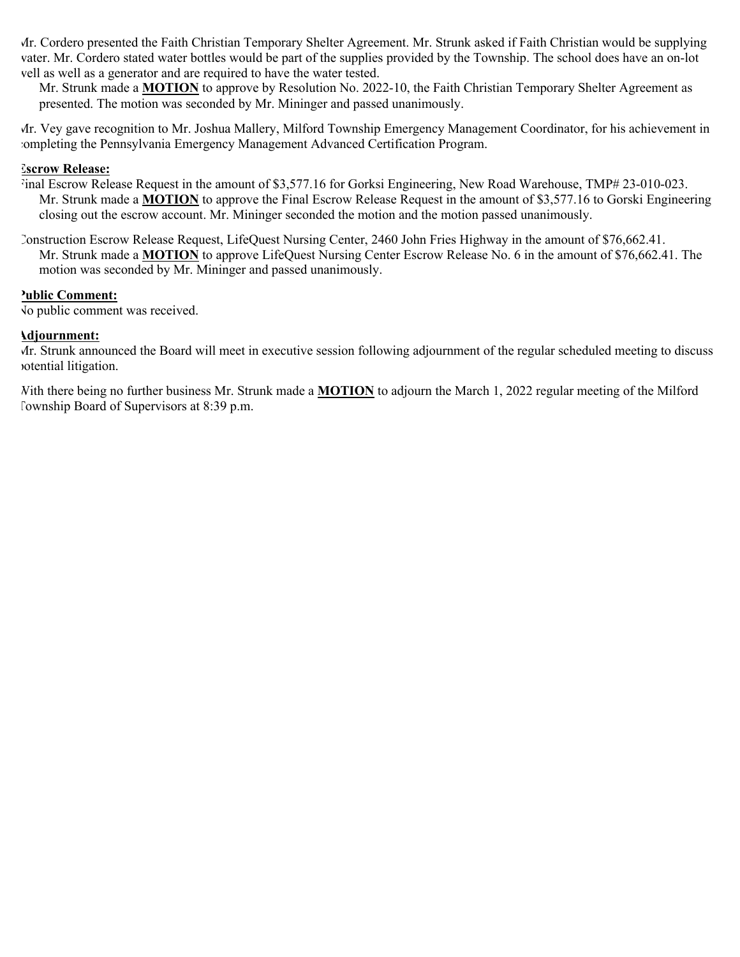Mr. Cordero presented the Faith Christian Temporary Shelter Agreement. Mr. Strunk asked if Faith Christian would be supplying water. Mr. Cordero stated water bottles would be part of the supplies provided by the Township. The school does have an on-lot well as well as a generator and are required to have the water tested.

Mr. Strunk made a **MOTION** to approve by Resolution No. 2022-10, the Faith Christian Temporary Shelter Agreement as presented. The motion was seconded by Mr. Mininger and passed unanimously.

Mr. Vey gave recognition to Mr. Joshua Mallery, Milford Township Emergency Management Coordinator, for his achievement in completing the Pennsylvania Emergency Management Advanced Certification Program.

## **Escrow Release:**

- Final Escrow Release Request in the amount of \$3,577.16 for Gorksi Engineering, New Road Warehouse, TMP# 23-010-023. Mr. Strunk made a **MOTION** to approve the Final Escrow Release Request in the amount of \$3,577.16 to Gorski Engineering closing out the escrow account. Mr. Mininger seconded the motion and the motion passed unanimously.
- Construction Escrow Release Request, LifeQuest Nursing Center, 2460 John Fries Highway in the amount of \$76,662.41. Mr. Strunk made a **MOTION** to approve LifeQuest Nursing Center Escrow Release No. 6 in the amount of \$76,662.41. The motion was seconded by Mr. Mininger and passed unanimously.

#### **Public Comment:**

No public comment was received.

#### **Adjournment:**

Mr. Strunk announced the Board will meet in executive session following adjournment of the regular scheduled meeting to discuss potential litigation.

With there being no further business Mr. Strunk made a **MOTION** to adjourn the March 1, 2022 regular meeting of the Milford Township Board of Supervisors at 8:39 p.m.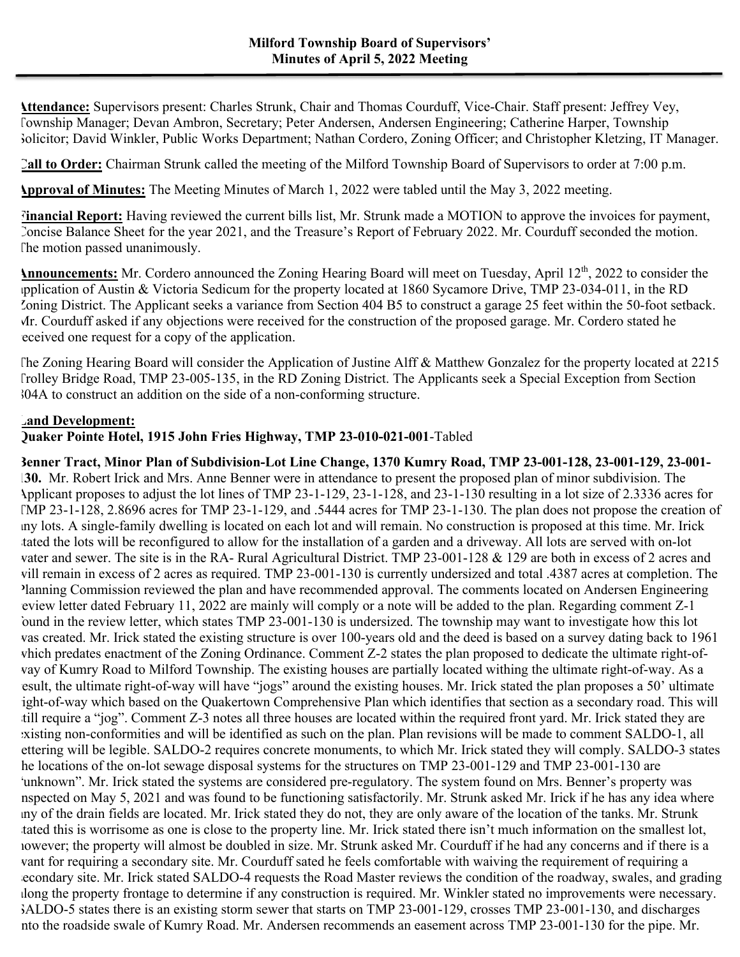**Attendance:** Supervisors present: Charles Strunk, Chair and Thomas Courduff, Vice-Chair. Staff present: Jeffrey Vey, Township Manager; Devan Ambron, Secretary; Peter Andersen, Andersen Engineering; Catherine Harper, Township Solicitor; David Winkler, Public Works Department; Nathan Cordero, Zoning Officer; and Christopher Kletzing, IT Manager.

**Call to Order:** Chairman Strunk called the meeting of the Milford Township Board of Supervisors to order at 7:00 p.m.

**Approval of Minutes:** The Meeting Minutes of March 1, 2022 were tabled until the May 3, 2022 meeting.

**Financial Report:** Having reviewed the current bills list, Mr. Strunk made a MOTION to approve the invoices for payment, Concise Balance Sheet for the year 2021, and the Treasure's Report of February 2022. Mr. Courduff seconded the motion. The motion passed unanimously.

**Announcements:** Mr. Cordero announced the Zoning Hearing Board will meet on Tuesday, April 12<sup>th</sup>, 2022 to consider the application of Austin & Victoria Sedicum for the property located at 1860 Sycamore Drive, TMP 23-034-011, in the RD Zoning District. The Applicant seeks a variance from Section 404 B5 to construct a garage 25 feet within the 50-foot setback. Mr. Courduff asked if any objections were received for the construction of the proposed garage. Mr. Cordero stated he received one request for a copy of the application.

The Zoning Hearing Board will consider the Application of Justine Alff & Matthew Gonzalez for the property located at 2215 Trolley Bridge Road, TMP 23-005-135, in the RD Zoning District. The Applicants seek a Special Exception from Section 804A to construct an addition on the side of a non-conforming structure.

## **Land Development:**

**Quaker Pointe Hotel, 1915 John Fries Highway, TMP 23-010-021-001**-Tabled

**Benner Tract, Minor Plan of Subdivision-Lot Line Change, 1370 Kumry Road, TMP 23-001-128, 23-001-129, 23-001- 130.** Mr. Robert Irick and Mrs. Anne Benner were in attendance to present the proposed plan of minor subdivision. The Applicant proposes to adjust the lot lines of TMP 23-1-129, 23-1-128, and 23-1-130 resulting in a lot size of 2.3336 acres for TMP 23-1-128, 2.8696 acres for TMP 23-1-129, and .5444 acres for TMP 23-1-130. The plan does not propose the creation of any lots. A single-family dwelling is located on each lot and will remain. No construction is proposed at this time. Mr. Irick stated the lots will be reconfigured to allow for the installation of a garden and a driveway. All lots are served with on-lot water and sewer. The site is in the RA- Rural Agricultural District. TMP 23-001-128 & 129 are both in excess of 2 acres and will remain in excess of 2 acres as required. TMP 23-001-130 is currently undersized and total .4387 acres at completion. The Planning Commission reviewed the plan and have recommended approval. The comments located on Andersen Engineering review letter dated February 11, 2022 are mainly will comply or a note will be added to the plan. Regarding comment Z-1 found in the review letter, which states TMP 23-001-130 is undersized. The township may want to investigate how this lot was created. Mr. Irick stated the existing structure is over 100-years old and the deed is based on a survey dating back to 1961 which predates enactment of the Zoning Ordinance. Comment Z-2 states the plan proposed to dedicate the ultimate right-ofway of Kumry Road to Milford Township. The existing houses are partially located withing the ultimate right-of-way. As a result, the ultimate right-of-way will have "jogs" around the existing houses. Mr. Irick stated the plan proposes a 50' ultimate ight-of-way which based on the Quakertown Comprehensive Plan which identifies that section as a secondary road. This will till require a "jog". Comment Z-3 notes all three houses are located within the required front yard. Mr. Irick stated they are existing non-conformities and will be identified as such on the plan. Plan revisions will be made to comment SALDO-1, all lettering will be legible. SALDO-2 requires concrete monuments, to which Mr. Irick stated they will comply. SALDO-3 states he locations of the on-lot sewage disposal systems for the structures on TMP 23-001-129 and TMP 23-001-130 are 'unknown''. Mr. Irick stated the systems are considered pre-regulatory. The system found on Mrs. Benner's property was nspected on May 5, 2021 and was found to be functioning satisfactorily. Mr. Strunk asked Mr. Irick if he has any idea where any of the drain fields are located. Mr. Irick stated they do not, they are only aware of the location of the tanks. Mr. Strunk tated this is worrisome as one is close to the property line. Mr. Irick stated there isn't much information on the smallest lot, however; the property will almost be doubled in size. Mr. Strunk asked Mr. Courduff if he had any concerns and if there is a want for requiring a secondary site. Mr. Courduff sated he feels comfortable with waiving the requirement of requiring a econdary site. Mr. Irick stated SALDO-4 requests the Road Master reviews the condition of the roadway, swales, and grading along the property frontage to determine if any construction is required. Mr. Winkler stated no improvements were necessary. SALDO-5 states there is an existing storm sewer that starts on TMP 23-001-129, crosses TMP 23-001-130, and discharges into the roadside swale of Kumry Road. Mr. Andersen recommends an easement across TMP 23-001-130 for the pipe. Mr.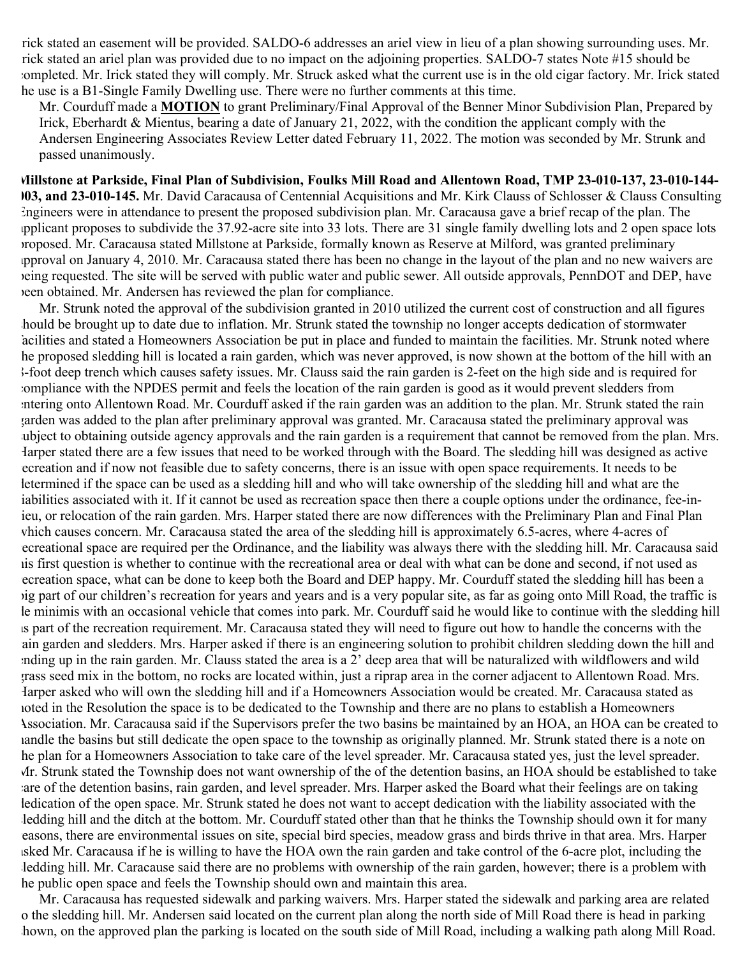rick stated an easement will be provided. SALDO-6 addresses an ariel view in lieu of a plan showing surrounding uses. Mr. rick stated an ariel plan was provided due to no impact on the adjoining properties. SALDO-7 states Note #15 should be completed. Mr. Irick stated they will comply. Mr. Struck asked what the current use is in the old cigar factory. Mr. Irick stated he use is a B1-Single Family Dwelling use. There were no further comments at this time.

Mr. Courduff made a **MOTION** to grant Preliminary/Final Approval of the Benner Minor Subdivision Plan, Prepared by Irick, Eberhardt & Mientus, bearing a date of January 21, 2022, with the condition the applicant comply with the Andersen Engineering Associates Review Letter dated February 11, 2022. The motion was seconded by Mr. Strunk and passed unanimously.

**Millstone at Parkside, Final Plan of Subdivision, Foulks Mill Road and Allentown Road, TMP 23-010-137, 23-010-144- 003, and 23-010-145.** Mr. David Caracausa of Centennial Acquisitions and Mr. Kirk Clauss of Schlosser & Clauss Consulting Engineers were in attendance to present the proposed subdivision plan. Mr. Caracausa gave a brief recap of the plan. The applicant proposes to subdivide the 37.92-acre site into 33 lots. There are 31 single family dwelling lots and 2 open space lots proposed. Mr. Caracausa stated Millstone at Parkside, formally known as Reserve at Milford, was granted preliminary approval on January 4, 2010. Mr. Caracausa stated there has been no change in the layout of the plan and no new waivers are being requested. The site will be served with public water and public sewer. All outside approvals, PennDOT and DEP, have been obtained. Mr. Andersen has reviewed the plan for compliance.

Mr. Strunk noted the approval of the subdivision granted in 2010 utilized the current cost of construction and all figures should be brought up to date due to inflation. Mr. Strunk stated the township no longer accepts dedication of stormwater facilities and stated a Homeowners Association be put in place and funded to maintain the facilities. Mr. Strunk noted where the proposed sledding hill is located a rain garden, which was never approved, is now shown at the bottom of the hill with an 8-foot deep trench which causes safety issues. Mr. Clauss said the rain garden is 2-feet on the high side and is required for compliance with the NPDES permit and feels the location of the rain garden is good as it would prevent sledders from entering onto Allentown Road. Mr. Courduff asked if the rain garden was an addition to the plan. Mr. Strunk stated the rain garden was added to the plan after preliminary approval was granted. Mr. Caracausa stated the preliminary approval was ubject to obtaining outside agency approvals and the rain garden is a requirement that cannot be removed from the plan. Mrs. Harper stated there are a few issues that need to be worked through with the Board. The sledding hill was designed as active recreation and if now not feasible due to safety concerns, there is an issue with open space requirements. It needs to be determined if the space can be used as a sledding hill and who will take ownership of the sledding hill and what are the liabilities associated with it. If it cannot be used as recreation space then there a couple options under the ordinance, fee-inieu, or relocation of the rain garden. Mrs. Harper stated there are now differences with the Preliminary Plan and Final Plan which causes concern. Mr. Caracausa stated the area of the sledding hill is approximately 6.5-acres, where 4-acres of recreational space are required per the Ordinance, and the liability was always there with the sledding hill. Mr. Caracausa said his first question is whether to continue with the recreational area or deal with what can be done and second, if not used as recreation space, what can be done to keep both the Board and DEP happy. Mr. Courduff stated the sledding hill has been a big part of our children's recreation for years and years and is a very popular site, as far as going onto Mill Road, the traffic is le minimis with an occasional vehicle that comes into park. Mr. Courduff said he would like to continue with the sledding hill as part of the recreation requirement. Mr. Caracausa stated they will need to figure out how to handle the concerns with the ain garden and sledders. Mrs. Harper asked if there is an engineering solution to prohibit children sledding down the hill and ending up in the rain garden. Mr. Clauss stated the area is a 2' deep area that will be naturalized with wildflowers and wild grass seed mix in the bottom, no rocks are located within, just a riprap area in the corner adjacent to Allentown Road. Mrs. Harper asked who will own the sledding hill and if a Homeowners Association would be created. Mr. Caracausa stated as noted in the Resolution the space is to be dedicated to the Township and there are no plans to establish a Homeowners Association. Mr. Caracausa said if the Supervisors prefer the two basins be maintained by an HOA, an HOA can be created to handle the basins but still dedicate the open space to the township as originally planned. Mr. Strunk stated there is a note on the plan for a Homeowners Association to take care of the level spreader. Mr. Caracausa stated yes, just the level spreader. Mr. Strunk stated the Township does not want ownership of the of the detention basins, an HOA should be established to take are of the detention basins, rain garden, and level spreader. Mrs. Harper asked the Board what their feelings are on taking dedication of the open space. Mr. Strunk stated he does not want to accept dedication with the liability associated with the ledding hill and the ditch at the bottom. Mr. Courduff stated other than that he thinks the Township should own it for many reasons, there are environmental issues on site, special bird species, meadow grass and birds thrive in that area. Mrs. Harper asked Mr. Caracausa if he is willing to have the HOA own the rain garden and take control of the 6-acre plot, including the ledding hill. Mr. Caracause said there are no problems with ownership of the rain garden, however; there is a problem with the public open space and feels the Township should own and maintain this area.

Mr. Caracausa has requested sidewalk and parking waivers. Mrs. Harper stated the sidewalk and parking area are related o the sledding hill. Mr. Andersen said located on the current plan along the north side of Mill Road there is head in parking hown, on the approved plan the parking is located on the south side of Mill Road, including a walking path along Mill Road.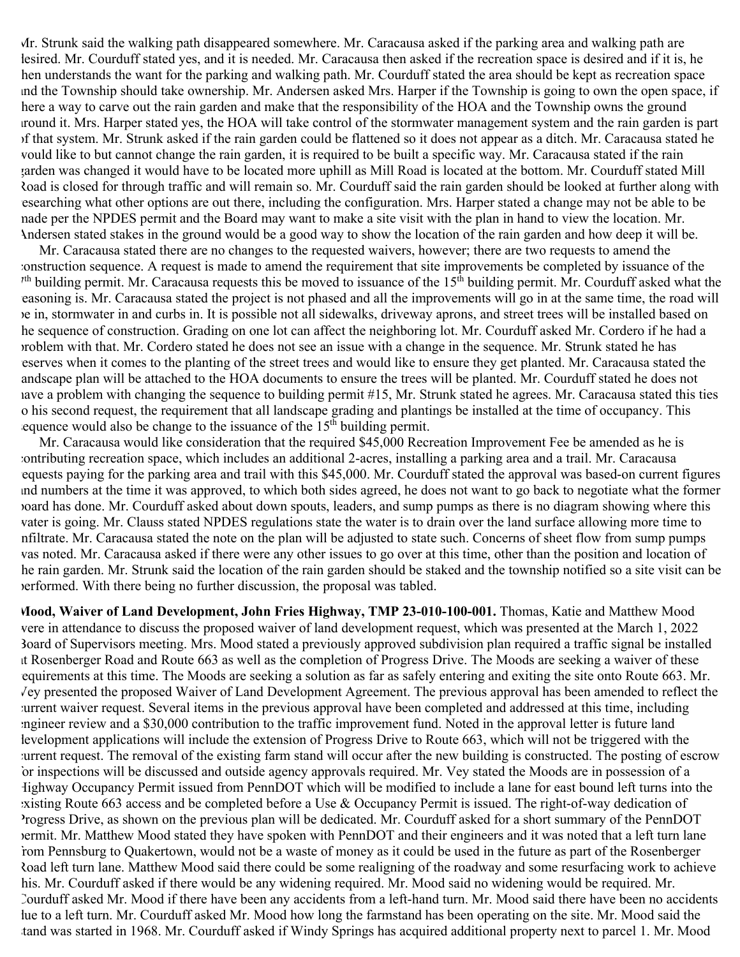Mr. Strunk said the walking path disappeared somewhere. Mr. Caracausa asked if the parking area and walking path are lesired. Mr. Courduff stated yes, and it is needed. Mr. Caracausa then asked if the recreation space is desired and if it is, he then understands the want for the parking and walking path. Mr. Courduff stated the area should be kept as recreation space and the Township should take ownership. Mr. Andersen asked Mrs. Harper if the Township is going to own the open space, if there a way to carve out the rain garden and make that the responsibility of the HOA and the Township owns the ground around it. Mrs. Harper stated yes, the HOA will take control of the stormwater management system and the rain garden is part of that system. Mr. Strunk asked if the rain garden could be flattened so it does not appear as a ditch. Mr. Caracausa stated he would like to but cannot change the rain garden, it is required to be built a specific way. Mr. Caracausa stated if the rain garden was changed it would have to be located more uphill as Mill Road is located at the bottom. Mr. Courduff stated Mill Road is closed for through traffic and will remain so. Mr. Courduff said the rain garden should be looked at further along with researching what other options are out there, including the configuration. Mrs. Harper stated a change may not be able to be made per the NPDES permit and the Board may want to make a site visit with the plan in hand to view the location. Mr. Andersen stated stakes in the ground would be a good way to show the location of the rain garden and how deep it will be.

Mr. Caracausa stated there are no changes to the requested waivers, however; there are two requests to amend the construction sequence. A request is made to amend the requirement that site improvements be completed by issuance of the  $7<sup>th</sup>$  building permit. Mr. Caracausa requests this be moved to issuance of the 15<sup>th</sup> building permit. Mr. Courduff asked what the reasoning is. Mr. Caracausa stated the project is not phased and all the improvements will go in at the same time, the road will be in, stormwater in and curbs in. It is possible not all sidewalks, driveway aprons, and street trees will be installed based on he sequence of construction. Grading on one lot can affect the neighboring lot. Mr. Courduff asked Mr. Cordero if he had a problem with that. Mr. Cordero stated he does not see an issue with a change in the sequence. Mr. Strunk stated he has reserves when it comes to the planting of the street trees and would like to ensure they get planted. Mr. Caracausa stated the andscape plan will be attached to the HOA documents to ensure the trees will be planted. Mr. Courduff stated he does not have a problem with changing the sequence to building permit #15, Mr. Strunk stated he agrees. Mr. Caracausa stated this ties to his second request, the requirement that all landscape grading and plantings be installed at the time of occupancy. This equence would also be change to the issuance of the  $15<sup>th</sup>$  building permit.

Mr. Caracausa would like consideration that the required \$45,000 Recreation Improvement Fee be amended as he is contributing recreation space, which includes an additional 2-acres, installing a parking area and a trail. Mr. Caracausa requests paying for the parking area and trail with this \$45,000. Mr. Courduff stated the approval was based-on current figures and numbers at the time it was approved, to which both sides agreed, he does not want to go back to negotiate what the former board has done. Mr. Courduff asked about down spouts, leaders, and sump pumps as there is no diagram showing where this water is going. Mr. Clauss stated NPDES regulations state the water is to drain over the land surface allowing more time to infiltrate. Mr. Caracausa stated the note on the plan will be adjusted to state such. Concerns of sheet flow from sump pumps was noted. Mr. Caracausa asked if there were any other issues to go over at this time, other than the position and location of the rain garden. Mr. Strunk said the location of the rain garden should be staked and the township notified so a site visit can be performed. With there being no further discussion, the proposal was tabled.

**Mood, Waiver of Land Development, John Fries Highway, TMP 23-010-100-001.** Thomas, Katie and Matthew Mood were in attendance to discuss the proposed waiver of land development request, which was presented at the March 1, 2022 Board of Supervisors meeting. Mrs. Mood stated a previously approved subdivision plan required a traffic signal be installed at Rosenberger Road and Route 663 as well as the completion of Progress Drive. The Moods are seeking a waiver of these requirements at this time. The Moods are seeking a solution as far as safely entering and exiting the site onto Route 663. Mr. Vey presented the proposed Waiver of Land Development Agreement. The previous approval has been amended to reflect the current waiver request. Several items in the previous approval have been completed and addressed at this time, including engineer review and a \$30,000 contribution to the traffic improvement fund. Noted in the approval letter is future land development applications will include the extension of Progress Drive to Route 663, which will not be triggered with the current request. The removal of the existing farm stand will occur after the new building is constructed. The posting of escrow for inspections will be discussed and outside agency approvals required. Mr. Vey stated the Moods are in possession of a Highway Occupancy Permit issued from PennDOT which will be modified to include a lane for east bound left turns into the existing Route 663 access and be completed before a Use & Occupancy Permit is issued. The right-of-way dedication of Progress Drive, as shown on the previous plan will be dedicated. Mr. Courduff asked for a short summary of the PennDOT permit. Mr. Matthew Mood stated they have spoken with PennDOT and their engineers and it was noted that a left turn lane from Pennsburg to Quakertown, would not be a waste of money as it could be used in the future as part of the Rosenberger Road left turn lane. Matthew Mood said there could be some realigning of the roadway and some resurfacing work to achieve his. Mr. Courduff asked if there would be any widening required. Mr. Mood said no widening would be required. Mr. Courduff asked Mr. Mood if there have been any accidents from a left-hand turn. Mr. Mood said there have been no accidents due to a left turn. Mr. Courduff asked Mr. Mood how long the farmstand has been operating on the site. Mr. Mood said the stand was started in 1968. Mr. Courduff asked if Windy Springs has acquired additional property next to parcel 1. Mr. Mood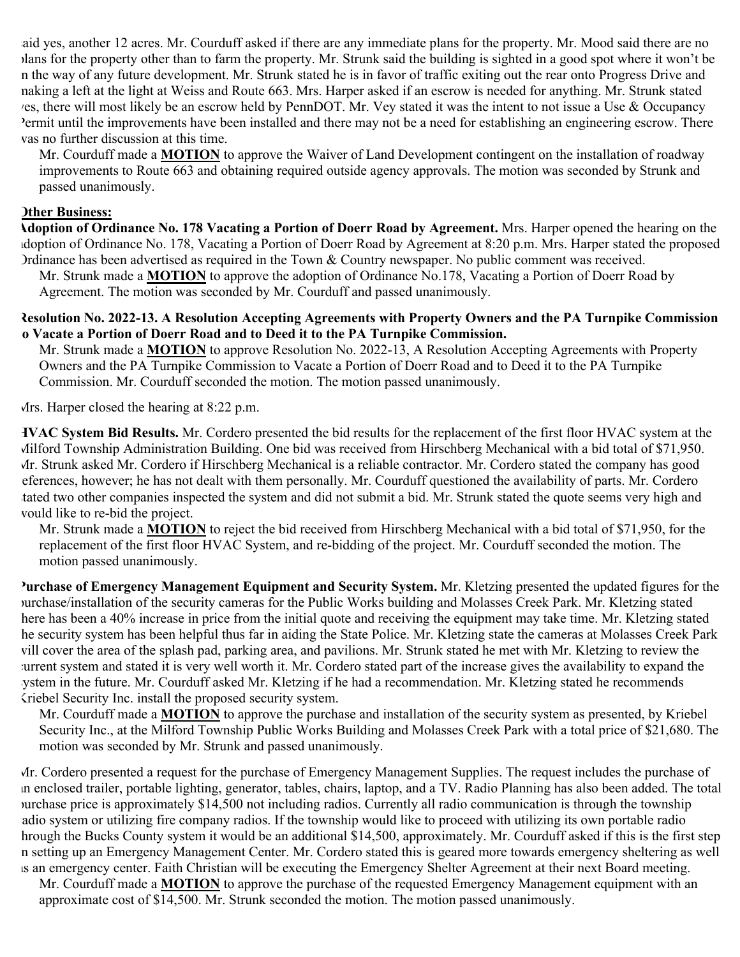said yes, another 12 acres. Mr. Courduff asked if there are any immediate plans for the property. Mr. Mood said there are no plans for the property other than to farm the property. Mr. Strunk said the building is sighted in a good spot where it won't be in the way of any future development. Mr. Strunk stated he is in favor of traffic exiting out the rear onto Progress Drive and making a left at the light at Weiss and Route 663. Mrs. Harper asked if an escrow is needed for anything. Mr. Strunk stated yes, there will most likely be an escrow held by PennDOT. Mr. Vey stated it was the intent to not issue a Use & Occupancy Permit until the improvements have been installed and there may not be a need for establishing an engineering escrow. There was no further discussion at this time.

Mr. Courduff made a **MOTION** to approve the Waiver of Land Development contingent on the installation of roadway improvements to Route 663 and obtaining required outside agency approvals. The motion was seconded by Strunk and passed unanimously.

## **Other Business:**

**Adoption of Ordinance No. 178 Vacating a Portion of Doerr Road by Agreement.** Mrs. Harper opened the hearing on the adoption of Ordinance No. 178, Vacating a Portion of Doerr Road by Agreement at 8:20 p.m. Mrs. Harper stated the proposed Ordinance has been advertised as required in the Town & Country newspaper. No public comment was received.

Mr. Strunk made a **MOTION** to approve the adoption of Ordinance No.178, Vacating a Portion of Doerr Road by Agreement. The motion was seconded by Mr. Courduff and passed unanimously.

### **Resolution No. 2022-13. A Resolution Accepting Agreements with Property Owners and the PA Turnpike Commission to Vacate a Portion of Doerr Road and to Deed it to the PA Turnpike Commission.**

Mr. Strunk made a **MOTION** to approve Resolution No. 2022-13, A Resolution Accepting Agreements with Property Owners and the PA Turnpike Commission to Vacate a Portion of Doerr Road and to Deed it to the PA Turnpike Commission. Mr. Courduff seconded the motion. The motion passed unanimously.

Mrs. Harper closed the hearing at 8:22 p.m.

**HVAC System Bid Results.** Mr. Cordero presented the bid results for the replacement of the first floor HVAC system at the Milford Township Administration Building. One bid was received from Hirschberg Mechanical with a bid total of \$71,950. Mr. Strunk asked Mr. Cordero if Hirschberg Mechanical is a reliable contractor. Mr. Cordero stated the company has good references, however; he has not dealt with them personally. Mr. Courduff questioned the availability of parts. Mr. Cordero tated two other companies inspected the system and did not submit a bid. Mr. Strunk stated the quote seems very high and would like to re-bid the project.

Mr. Strunk made a **MOTION** to reject the bid received from Hirschberg Mechanical with a bid total of \$71,950, for the replacement of the first floor HVAC System, and re-bidding of the project. Mr. Courduff seconded the motion. The motion passed unanimously.

**Purchase of Emergency Management Equipment and Security System.** Mr. Kletzing presented the updated figures for the purchase/installation of the security cameras for the Public Works building and Molasses Creek Park. Mr. Kletzing stated here has been a 40% increase in price from the initial quote and receiving the equipment may take time. Mr. Kletzing stated the security system has been helpful thus far in aiding the State Police. Mr. Kletzing state the cameras at Molasses Creek Park will cover the area of the splash pad, parking area, and pavilions. Mr. Strunk stated he met with Mr. Kletzing to review the current system and stated it is very well worth it. Mr. Cordero stated part of the increase gives the availability to expand the system in the future. Mr. Courduff asked Mr. Kletzing if he had a recommendation. Mr. Kletzing stated he recommends Kriebel Security Inc. install the proposed security system.

Mr. Courduff made a **MOTION** to approve the purchase and installation of the security system as presented, by Kriebel Security Inc., at the Milford Township Public Works Building and Molasses Creek Park with a total price of \$21,680. The motion was seconded by Mr. Strunk and passed unanimously.

Mr. Cordero presented a request for the purchase of Emergency Management Supplies. The request includes the purchase of an enclosed trailer, portable lighting, generator, tables, chairs, laptop, and a TV. Radio Planning has also been added. The total purchase price is approximately \$14,500 not including radios. Currently all radio communication is through the township radio system or utilizing fire company radios. If the township would like to proceed with utilizing its own portable radio hrough the Bucks County system it would be an additional \$14,500, approximately. Mr. Courduff asked if this is the first step in setting up an Emergency Management Center. Mr. Cordero stated this is geared more towards emergency sheltering as well as an emergency center. Faith Christian will be executing the Emergency Shelter Agreement at their next Board meeting.

Mr. Courduff made a **MOTION** to approve the purchase of the requested Emergency Management equipment with an approximate cost of \$14,500. Mr. Strunk seconded the motion. The motion passed unanimously.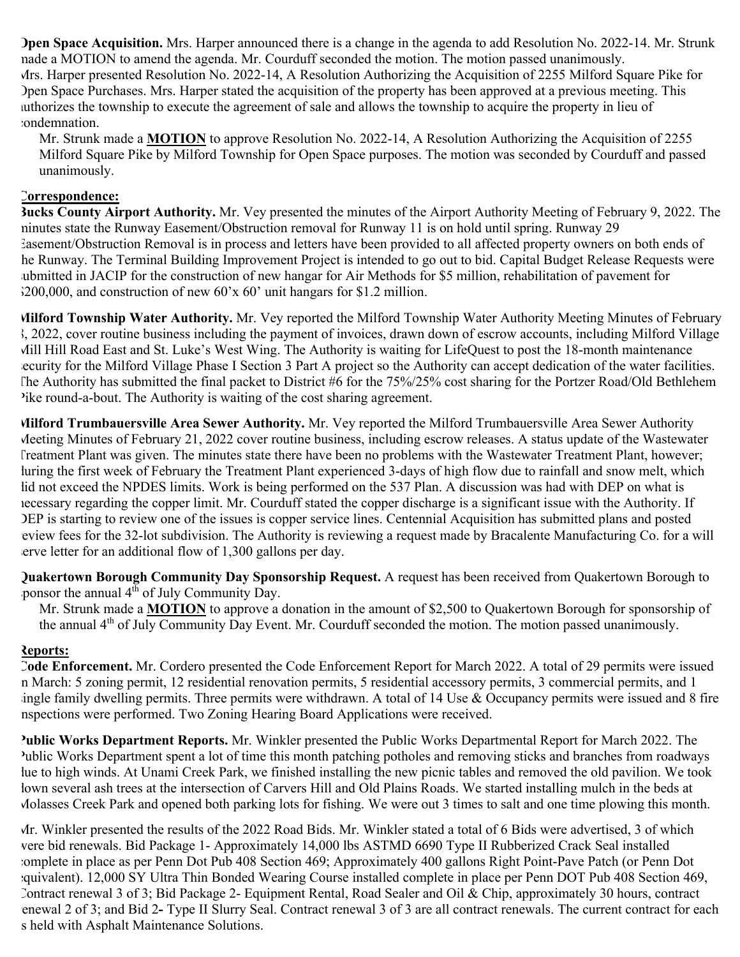**Open Space Acquisition.** Mrs. Harper announced there is a change in the agenda to add Resolution No. 2022-14. Mr. Strunk made a MOTION to amend the agenda. Mr. Courduff seconded the motion. The motion passed unanimously. Mrs. Harper presented Resolution No. 2022-14, A Resolution Authorizing the Acquisition of 2255 Milford Square Pike for Open Space Purchases. Mrs. Harper stated the acquisition of the property has been approved at a previous meeting. This authorizes the township to execute the agreement of sale and allows the township to acquire the property in lieu of condemnation.

Mr. Strunk made a **MOTION** to approve Resolution No. 2022-14, A Resolution Authorizing the Acquisition of 2255 Milford Square Pike by Milford Township for Open Space purposes. The motion was seconded by Courduff and passed unanimously.

# **Correspondence:**

**Bucks County Airport Authority.** Mr. Vey presented the minutes of the Airport Authority Meeting of February 9, 2022. The minutes state the Runway Easement/Obstruction removal for Runway 11 is on hold until spring. Runway 29 Easement/Obstruction Removal is in process and letters have been provided to all affected property owners on both ends of he Runway. The Terminal Building Improvement Project is intended to go out to bid. Capital Budget Release Requests were submitted in JACIP for the construction of new hangar for Air Methods for \$5 million, rehabilitation of pavement for  $3200,000$ , and construction of new 60'x 60' unit hangars for \$1.2 million.

**Milford Township Water Authority.** Mr. Vey reported the Milford Township Water Authority Meeting Minutes of February 8, 2022, cover routine business including the payment of invoices, drawn down of escrow accounts, including Milford Village Mill Hill Road East and St. Luke's West Wing. The Authority is waiting for LifeQuest to post the 18-month maintenance ecurity for the Milford Village Phase I Section 3 Part A project so the Authority can accept dedication of the water facilities. The Authority has submitted the final packet to District #6 for the 75%/25% cost sharing for the Portzer Road/Old Bethlehem Pike round-a-bout. The Authority is waiting of the cost sharing agreement.

**Milford Trumbauersville Area Sewer Authority.** Mr. Vey reported the Milford Trumbauersville Area Sewer Authority Meeting Minutes of February 21, 2022 cover routine business, including escrow releases. A status update of the Wastewater Treatment Plant was given. The minutes state there have been no problems with the Wastewater Treatment Plant, however; luring the first week of February the Treatment Plant experienced 3-days of high flow due to rainfall and snow melt, which lid not exceed the NPDES limits. Work is being performed on the 537 Plan. A discussion was had with DEP on what is necessary regarding the copper limit. Mr. Courduff stated the copper discharge is a significant issue with the Authority. If DEP is starting to review one of the issues is copper service lines. Centennial Acquisition has submitted plans and posted review fees for the 32-lot subdivision. The Authority is reviewing a request made by Bracalente Manufacturing Co. for a will erve letter for an additional flow of 1,300 gallons per day.

**Quakertown Borough Community Day Sponsorship Request.** A request has been received from Quakertown Borough to ponsor the annual 4<sup>th</sup> of July Community Day.

Mr. Strunk made a **MOTION** to approve a donation in the amount of \$2,500 to Quakertown Borough for sponsorship of the annual 4<sup>th</sup> of July Community Day Event. Mr. Courduff seconded the motion. The motion passed unanimously.

## **Reports:**

**Code Enforcement.** Mr. Cordero presented the Code Enforcement Report for March 2022. A total of 29 permits were issued in March: 5 zoning permit, 12 residential renovation permits, 5 residential accessory permits, 3 commercial permits, and 1 ingle family dwelling permits. Three permits were withdrawn. A total of 14 Use  $\&$  Occupancy permits were issued and 8 fire inspections were performed. Two Zoning Hearing Board Applications were received.

**Public Works Department Reports.** Mr. Winkler presented the Public Works Departmental Report for March 2022. The Public Works Department spent a lot of time this month patching potholes and removing sticks and branches from roadways lue to high winds. At Unami Creek Park, we finished installing the new picnic tables and removed the old pavilion. We took lown several ash trees at the intersection of Carvers Hill and Old Plains Roads. We started installing mulch in the beds at Molasses Creek Park and opened both parking lots for fishing. We were out 3 times to salt and one time plowing this month.

Mr. Winkler presented the results of the 2022 Road Bids. Mr. Winkler stated a total of 6 Bids were advertised, 3 of which were bid renewals. Bid Package 1- Approximately 14,000 lbs ASTMD 6690 Type II Rubberized Crack Seal installed complete in place as per Penn Dot Pub 408 Section 469; Approximately 400 gallons Right Point-Pave Patch (or Penn Dot equivalent). 12,000 SY Ultra Thin Bonded Wearing Course installed complete in place per Penn DOT Pub 408 Section 469, Contract renewal 3 of 3; Bid Package 2- Equipment Rental, Road Sealer and Oil & Chip, approximately 30 hours, contract renewal 2 of 3; and Bid 2**-** Type II Slurry Seal. Contract renewal 3 of 3 are all contract renewals. The current contract for each s held with Asphalt Maintenance Solutions.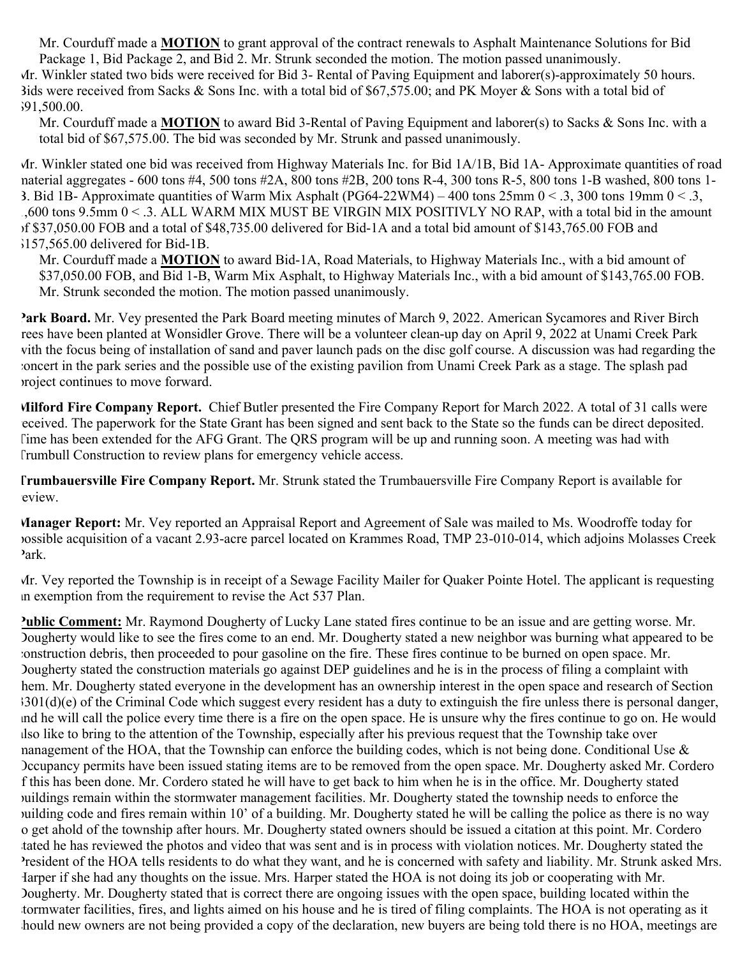Mr. Courduff made a **MOTION** to grant approval of the contract renewals to Asphalt Maintenance Solutions for Bid Package 1, Bid Package 2, and Bid 2. Mr. Strunk seconded the motion. The motion passed unanimously.

Mr. Winkler stated two bids were received for Bid 3- Rental of Paving Equipment and laborer(s)-approximately 50 hours. Bids were received from Sacks & Sons Inc. with a total bid of \$67,575.00; and PK Moyer & Sons with a total bid of \$91,500.00.

Mr. Courduff made a **MOTION** to award Bid 3-Rental of Paving Equipment and laborer(s) to Sacks & Sons Inc. with a total bid of \$67,575.00. The bid was seconded by Mr. Strunk and passed unanimously.

Mr. Winkler stated one bid was received from Highway Materials Inc. for Bid 1A/1B, Bid 1A- Approximate quantities of road material aggregates - 600 tons #4, 500 tons #2A, 800 tons #2B, 200 tons R-4, 300 tons R-5, 800 tons 1-B washed, 800 tons 1- 3. Bid 1B- Approximate quantities of Warm Mix Asphalt (PG64-22WM4) – 400 tons  $25 \text{mm}$  0 < .3, 300 tons 19mm 0 < .3, 1,600 tons 9.5mm 0 < .3. ALL WARM MIX MUST BE VIRGIN MIX POSITIVLY NO RAP, with a total bid in the amount of \$37,050.00 FOB and a total of \$48,735.00 delivered for Bid-1A and a total bid amount of \$143,765.00 FOB and \$157,565.00 delivered for Bid-1B.

Mr. Courduff made a **MOTION** to award Bid-1A, Road Materials, to Highway Materials Inc., with a bid amount of \$37,050.00 FOB, and Bid 1-B, Warm Mix Asphalt, to Highway Materials Inc., with a bid amount of \$143,765.00 FOB. Mr. Strunk seconded the motion. The motion passed unanimously.

**Park Board.** Mr. Vey presented the Park Board meeting minutes of March 9, 2022. American Sycamores and River Birch trees have been planted at Wonsidler Grove. There will be a volunteer clean-up day on April 9, 2022 at Unami Creek Park with the focus being of installation of sand and paver launch pads on the disc golf course. A discussion was had regarding the concert in the park series and the possible use of the existing pavilion from Unami Creek Park as a stage. The splash pad project continues to move forward.

**Milford Fire Company Report.** Chief Butler presented the Fire Company Report for March 2022. A total of 31 calls were received. The paperwork for the State Grant has been signed and sent back to the State so the funds can be direct deposited. Time has been extended for the AFG Grant. The QRS program will be up and running soon. A meeting was had with Trumbull Construction to review plans for emergency vehicle access.

**Trumbauersville Fire Company Report.** Mr. Strunk stated the Trumbauersville Fire Company Report is available for eview.

**Manager Report:** Mr. Vey reported an Appraisal Report and Agreement of Sale was mailed to Ms. Woodroffe today for possible acquisition of a vacant 2.93-acre parcel located on Krammes Road, TMP 23-010-014, which adjoins Molasses Creek Park.

Mr. Vey reported the Township is in receipt of a Sewage Facility Mailer for Quaker Pointe Hotel. The applicant is requesting an exemption from the requirement to revise the Act 537 Plan.

**Public Comment:** Mr. Raymond Dougherty of Lucky Lane stated fires continue to be an issue and are getting worse. Mr. Dougherty would like to see the fires come to an end. Mr. Dougherty stated a new neighbor was burning what appeared to be construction debris, then proceeded to pour gasoline on the fire. These fires continue to be burned on open space. Mr. Dougherty stated the construction materials go against DEP guidelines and he is in the process of filing a complaint with hem. Mr. Dougherty stated everyone in the development has an ownership interest in the open space and research of Section 3301(d)(e) of the Criminal Code which suggest every resident has a duty to extinguish the fire unless there is personal danger, and he will call the police every time there is a fire on the open space. He is unsure why the fires continue to go on. He would also like to bring to the attention of the Township, especially after his previous request that the Township take over nanagement of the HOA, that the Township can enforce the building codes, which is not being done. Conditional Use  $\&$ Occupancy permits have been issued stating items are to be removed from the open space. Mr. Dougherty asked Mr. Cordero f this has been done. Mr. Cordero stated he will have to get back to him when he is in the office. Mr. Dougherty stated buildings remain within the stormwater management facilities. Mr. Dougherty stated the township needs to enforce the building code and fires remain within 10' of a building. Mr. Dougherty stated he will be calling the police as there is no way o get ahold of the township after hours. Mr. Dougherty stated owners should be issued a citation at this point. Mr. Cordero tated he has reviewed the photos and video that was sent and is in process with violation notices. Mr. Dougherty stated the President of the HOA tells residents to do what they want, and he is concerned with safety and liability. Mr. Strunk asked Mrs. Harper if she had any thoughts on the issue. Mrs. Harper stated the HOA is not doing its job or cooperating with Mr. Dougherty. Mr. Dougherty stated that is correct there are ongoing issues with the open space, building located within the stormwater facilities, fires, and lights aimed on his house and he is tired of filing complaints. The HOA is not operating as it hould new owners are not being provided a copy of the declaration, new buyers are being told there is no HOA, meetings are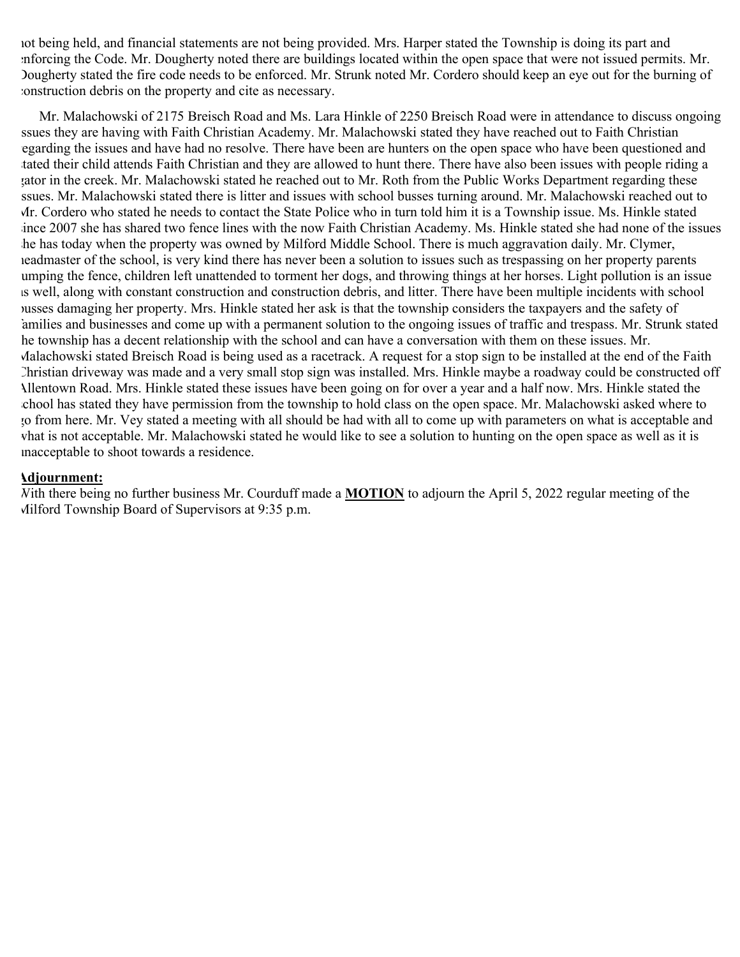not being held, and financial statements are not being provided. Mrs. Harper stated the Township is doing its part and enforcing the Code. Mr. Dougherty noted there are buildings located within the open space that were not issued permits. Mr. Dougherty stated the fire code needs to be enforced. Mr. Strunk noted Mr. Cordero should keep an eye out for the burning of construction debris on the property and cite as necessary.

Mr. Malachowski of 2175 Breisch Road and Ms. Lara Hinkle of 2250 Breisch Road were in attendance to discuss ongoing ssues they are having with Faith Christian Academy. Mr. Malachowski stated they have reached out to Faith Christian regarding the issues and have had no resolve. There have been are hunters on the open space who have been questioned and tated their child attends Faith Christian and they are allowed to hunt there. There have also been issues with people riding a gator in the creek. Mr. Malachowski stated he reached out to Mr. Roth from the Public Works Department regarding these ssues. Mr. Malachowski stated there is litter and issues with school busses turning around. Mr. Malachowski reached out to Mr. Cordero who stated he needs to contact the State Police who in turn told him it is a Township issue. Ms. Hinkle stated since 2007 she has shared two fence lines with the now Faith Christian Academy. Ms. Hinkle stated she had none of the issues she has today when the property was owned by Milford Middle School. There is much aggravation daily. Mr. Clymer, headmaster of the school, is very kind there has never been a solution to issues such as trespassing on her property parents jumping the fence, children left unattended to torment her dogs, and throwing things at her horses. Light pollution is an issue as well, along with constant construction and construction debris, and litter. There have been multiple incidents with school busses damaging her property. Mrs. Hinkle stated her ask is that the township considers the taxpayers and the safety of families and businesses and come up with a permanent solution to the ongoing issues of traffic and trespass. Mr. Strunk stated he township has a decent relationship with the school and can have a conversation with them on these issues. Mr. Malachowski stated Breisch Road is being used as a racetrack. A request for a stop sign to be installed at the end of the Faith Christian driveway was made and a very small stop sign was installed. Mrs. Hinkle maybe a roadway could be constructed off Allentown Road. Mrs. Hinkle stated these issues have been going on for over a year and a half now. Mrs. Hinkle stated the school has stated they have permission from the township to hold class on the open space. Mr. Malachowski asked where to go from here. Mr. Vey stated a meeting with all should be had with all to come up with parameters on what is acceptable and what is not acceptable. Mr. Malachowski stated he would like to see a solution to hunting on the open space as well as it is unacceptable to shoot towards a residence.

#### **Adjournment:**

With there being no further business Mr. Courduff made a **MOTION** to adjourn the April 5, 2022 regular meeting of the Milford Township Board of Supervisors at 9:35 p.m.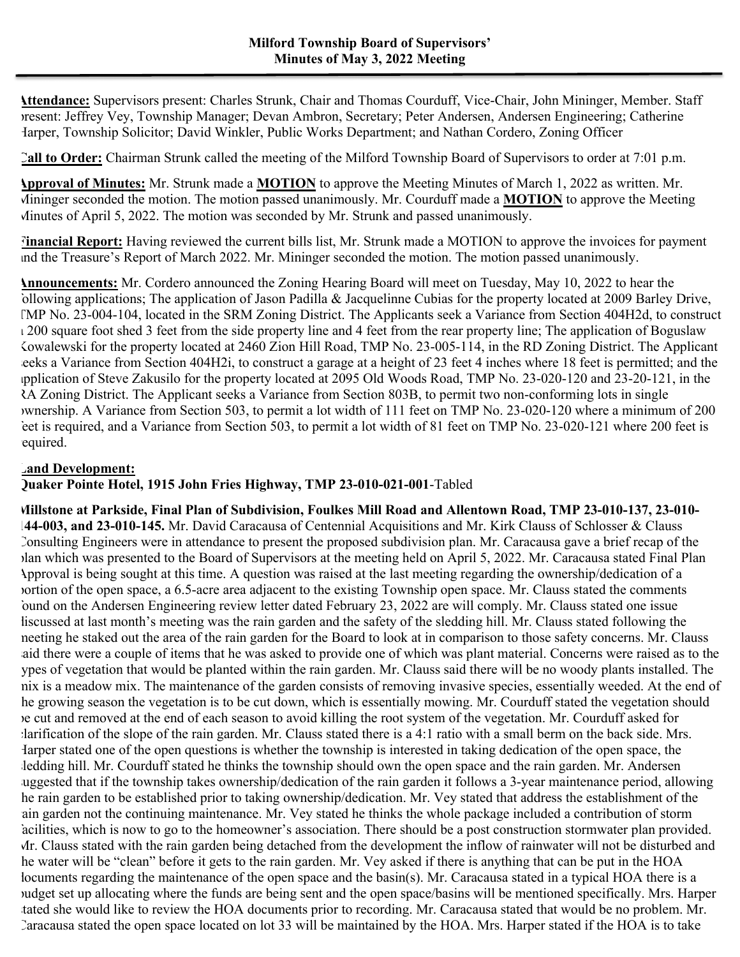**Attendance:** Supervisors present: Charles Strunk, Chair and Thomas Courduff, Vice-Chair, John Mininger, Member. Staff present: Jeffrey Vey, Township Manager; Devan Ambron, Secretary; Peter Andersen, Andersen Engineering; Catherine Harper, Township Solicitor; David Winkler, Public Works Department; and Nathan Cordero, Zoning Officer

**Call to Order:** Chairman Strunk called the meeting of the Milford Township Board of Supervisors to order at 7:01 p.m.

**Approval of Minutes:** Mr. Strunk made a **MOTION** to approve the Meeting Minutes of March 1, 2022 as written. Mr. Mininger seconded the motion. The motion passed unanimously. Mr. Courduff made a **MOTION** to approve the Meeting Minutes of April 5, 2022. The motion was seconded by Mr. Strunk and passed unanimously.

**Financial Report:** Having reviewed the current bills list, Mr. Strunk made a MOTION to approve the invoices for payment and the Treasure's Report of March 2022. Mr. Mininger seconded the motion. The motion passed unanimously.

**Announcements:** Mr. Cordero announced the Zoning Hearing Board will meet on Tuesday, May 10, 2022 to hear the following applications; The application of Jason Padilla & Jacquelinne Cubias for the property located at 2009 Barley Drive, TMP No. 23-004-104, located in the SRM Zoning District. The Applicants seek a Variance from Section 404H2d, to construct  $\sqrt{200}$  square foot shed 3 feet from the side property line and 4 feet from the rear property line; The application of Boguslaw Kowalewski for the property located at 2460 Zion Hill Road, TMP No. 23-005-114, in the RD Zoning District. The Applicant eeks a Variance from Section 404H2i, to construct a garage at a height of 23 feet 4 inches where 18 feet is permitted; and the application of Steve Zakusilo for the property located at 2095 Old Woods Road, TMP No. 23-020-120 and 23-20-121, in the RA Zoning District. The Applicant seeks a Variance from Section 803B, to permit two non-conforming lots in single ownership. A Variance from Section 503, to permit a lot width of 111 feet on TMP No. 23-020-120 where a minimum of 200 feet is required, and a Variance from Section 503, to permit a lot width of 81 feet on TMP No. 23-020-121 where 200 feet is equired.

## **Land Development:**

# **Quaker Pointe Hotel, 1915 John Fries Highway, TMP 23-010-021-001**-Tabled

**Millstone at Parkside, Final Plan of Subdivision, Foulkes Mill Road and Allentown Road, TMP 23-010-137, 23-010- 144-003, and 23-010-145.** Mr. David Caracausa of Centennial Acquisitions and Mr. Kirk Clauss of Schlosser & Clauss Consulting Engineers were in attendance to present the proposed subdivision plan. Mr. Caracausa gave a brief recap of the plan which was presented to the Board of Supervisors at the meeting held on April 5, 2022. Mr. Caracausa stated Final Plan Approval is being sought at this time. A question was raised at the last meeting regarding the ownership/dedication of a portion of the open space, a 6.5-acre area adjacent to the existing Township open space. Mr. Clauss stated the comments found on the Andersen Engineering review letter dated February 23, 2022 are will comply. Mr. Clauss stated one issue liscussed at last month's meeting was the rain garden and the safety of the sledding hill. Mr. Clauss stated following the meeting he staked out the area of the rain garden for the Board to look at in comparison to those safety concerns. Mr. Clauss aid there were a couple of items that he was asked to provide one of which was plant material. Concerns were raised as to the types of vegetation that would be planted within the rain garden. Mr. Clauss said there will be no woody plants installed. The mix is a meadow mix. The maintenance of the garden consists of removing invasive species, essentially weeded. At the end of he growing season the vegetation is to be cut down, which is essentially mowing. Mr. Courduff stated the vegetation should be cut and removed at the end of each season to avoid killing the root system of the vegetation. Mr. Courduff asked for clarification of the slope of the rain garden. Mr. Clauss stated there is a 4:1 ratio with a small berm on the back side. Mrs. Harper stated one of the open questions is whether the township is interested in taking dedication of the open space, the ledding hill. Mr. Courduff stated he thinks the township should own the open space and the rain garden. Mr. Andersen uggested that if the township takes ownership/dedication of the rain garden it follows a 3-year maintenance period, allowing he rain garden to be established prior to taking ownership/dedication. Mr. Vey stated that address the establishment of the ain garden not the continuing maintenance. Mr. Vey stated he thinks the whole package included a contribution of storm facilities, which is now to go to the homeowner's association. There should be a post construction stormwater plan provided. Mr. Clauss stated with the rain garden being detached from the development the inflow of rainwater will not be disturbed and the water will be "clean" before it gets to the rain garden. Mr. Vey asked if there is anything that can be put in the HOA locuments regarding the maintenance of the open space and the basin(s). Mr. Caracausa stated in a typical HOA there is a budget set up allocating where the funds are being sent and the open space/basins will be mentioned specifically. Mrs. Harper tated she would like to review the HOA documents prior to recording. Mr. Caracausa stated that would be no problem. Mr. Caracausa stated the open space located on lot 33 will be maintained by the HOA. Mrs. Harper stated if the HOA is to take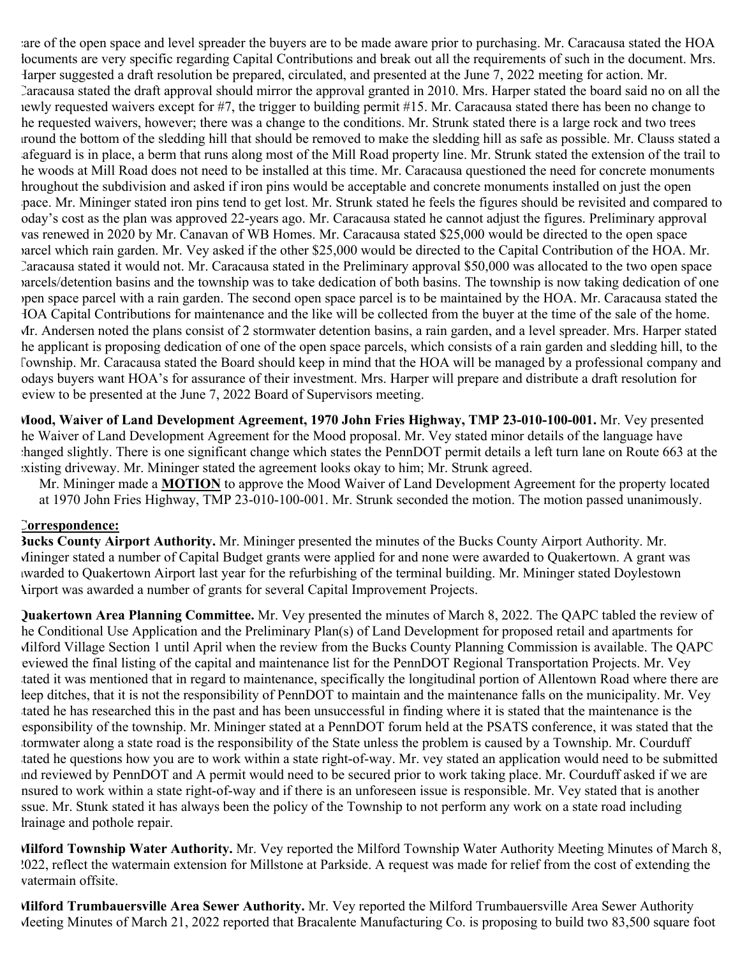are of the open space and level spreader the buyers are to be made aware prior to purchasing. Mr. Caracausa stated the HOA documents are very specific regarding Capital Contributions and break out all the requirements of such in the document. Mrs. Harper suggested a draft resolution be prepared, circulated, and presented at the June 7, 2022 meeting for action. Mr. Caracausa stated the draft approval should mirror the approval granted in 2010. Mrs. Harper stated the board said no on all the newly requested waivers except for #7, the trigger to building permit #15. Mr. Caracausa stated there has been no change to he requested waivers, however; there was a change to the conditions. Mr. Strunk stated there is a large rock and two trees around the bottom of the sledding hill that should be removed to make the sledding hill as safe as possible. Mr. Clauss stated a afeguard is in place, a berm that runs along most of the Mill Road property line. Mr. Strunk stated the extension of the trail to he woods at Mill Road does not need to be installed at this time. Mr. Caracausa questioned the need for concrete monuments hroughout the subdivision and asked if iron pins would be acceptable and concrete monuments installed on just the open space. Mr. Mininger stated iron pins tend to get lost. Mr. Strunk stated he feels the figures should be revisited and compared to oday's cost as the plan was approved 22-years ago. Mr. Caracausa stated he cannot adjust the figures. Preliminary approval was renewed in 2020 by Mr. Canavan of WB Homes. Mr. Caracausa stated \$25,000 would be directed to the open space parcel which rain garden. Mr. Vey asked if the other \$25,000 would be directed to the Capital Contribution of the HOA. Mr. Caracausa stated it would not. Mr. Caracausa stated in the Preliminary approval \$50,000 was allocated to the two open space parcels/detention basins and the township was to take dedication of both basins. The township is now taking dedication of one open space parcel with a rain garden. The second open space parcel is to be maintained by the HOA. Mr. Caracausa stated the HOA Capital Contributions for maintenance and the like will be collected from the buyer at the time of the sale of the home. Mr. Andersen noted the plans consist of 2 stormwater detention basins, a rain garden, and a level spreader. Mrs. Harper stated the applicant is proposing dedication of one of the open space parcels, which consists of a rain garden and sledding hill, to the Township. Mr. Caracausa stated the Board should keep in mind that the HOA will be managed by a professional company and odays buyers want HOA's for assurance of their investment. Mrs. Harper will prepare and distribute a draft resolution for eview to be presented at the June 7, 2022 Board of Supervisors meeting.

**Mood, Waiver of Land Development Agreement, 1970 John Fries Highway, TMP 23-010-100-001.** Mr. Vey presented he Waiver of Land Development Agreement for the Mood proposal. Mr. Vey stated minor details of the language have changed slightly. There is one significant change which states the PennDOT permit details a left turn lane on Route 663 at the existing driveway. Mr. Mininger stated the agreement looks okay to him; Mr. Strunk agreed.

Mr. Mininger made a **MOTION** to approve the Mood Waiver of Land Development Agreement for the property located at 1970 John Fries Highway, TMP 23-010-100-001. Mr. Strunk seconded the motion. The motion passed unanimously.

## **Correspondence:**

**Bucks County Airport Authority.** Mr. Mininger presented the minutes of the Bucks County Airport Authority. Mr. Mininger stated a number of Capital Budget grants were applied for and none were awarded to Quakertown. A grant was awarded to Quakertown Airport last year for the refurbishing of the terminal building. Mr. Mininger stated Doylestown Airport was awarded a number of grants for several Capital Improvement Projects.

**Quakertown Area Planning Committee.** Mr. Vey presented the minutes of March 8, 2022. The QAPC tabled the review of he Conditional Use Application and the Preliminary Plan(s) of Land Development for proposed retail and apartments for Milford Village Section 1 until April when the review from the Bucks County Planning Commission is available. The QAPC reviewed the final listing of the capital and maintenance list for the PennDOT Regional Transportation Projects. Mr. Vey tated it was mentioned that in regard to maintenance, specifically the longitudinal portion of Allentown Road where there are leep ditches, that it is not the responsibility of PennDOT to maintain and the maintenance falls on the municipality. Mr. Vey stated he has researched this in the past and has been unsuccessful in finding where it is stated that the maintenance is the responsibility of the township. Mr. Mininger stated at a PennDOT forum held at the PSATS conference, it was stated that the stormwater along a state road is the responsibility of the State unless the problem is caused by a Township. Mr. Courduff tated he questions how you are to work within a state right-of-way. Mr. vey stated an application would need to be submitted and reviewed by PennDOT and A permit would need to be secured prior to work taking place. Mr. Courduff asked if we are insured to work within a state right-of-way and if there is an unforeseen issue is responsible. Mr. Vey stated that is another ssue. Mr. Stunk stated it has always been the policy of the Township to not perform any work on a state road including drainage and pothole repair.

**Milford Township Water Authority.** Mr. Vey reported the Milford Township Water Authority Meeting Minutes of March 8, 2022, reflect the watermain extension for Millstone at Parkside. A request was made for relief from the cost of extending the watermain offsite.

**Milford Trumbauersville Area Sewer Authority.** Mr. Vey reported the Milford Trumbauersville Area Sewer Authority Meeting Minutes of March 21, 2022 reported that Bracalente Manufacturing Co. is proposing to build two 83,500 square foot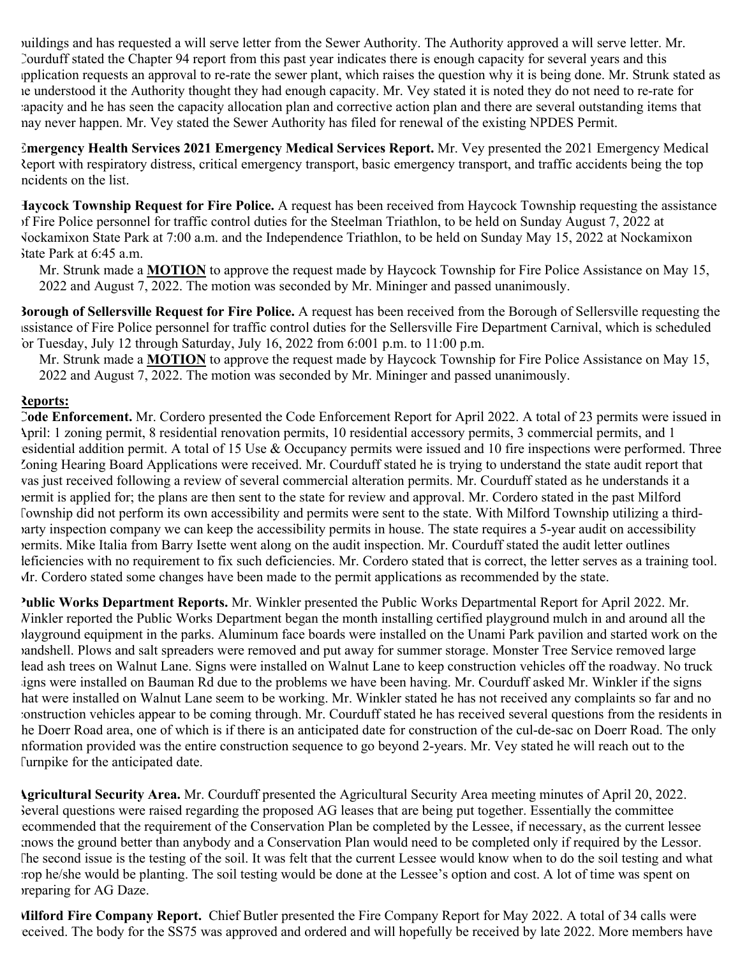buildings and has requested a will serve letter from the Sewer Authority. The Authority approved a will serve letter. Mr. Courduff stated the Chapter 94 report from this past year indicates there is enough capacity for several years and this application requests an approval to re-rate the sewer plant, which raises the question why it is being done. Mr. Strunk stated as he understood it the Authority thought they had enough capacity. Mr. Vey stated it is noted they do not need to re-rate for capacity and he has seen the capacity allocation plan and corrective action plan and there are several outstanding items that may never happen. Mr. Vey stated the Sewer Authority has filed for renewal of the existing NPDES Permit.

**Emergency Health Services 2021 Emergency Medical Services Report.** Mr. Vey presented the 2021 Emergency Medical Report with respiratory distress, critical emergency transport, basic emergency transport, and traffic accidents being the top ncidents on the list.

**Haycock Township Request for Fire Police.** A request has been received from Haycock Township requesting the assistance of Fire Police personnel for traffic control duties for the Steelman Triathlon, to be held on Sunday August 7, 2022 at Nockamixon State Park at 7:00 a.m. and the Independence Triathlon, to be held on Sunday May 15, 2022 at Nockamixon State Park at 6:45 a.m.

Mr. Strunk made a **MOTION** to approve the request made by Haycock Township for Fire Police Assistance on May 15, 2022 and August 7, 2022. The motion was seconded by Mr. Mininger and passed unanimously.

**Borough of Sellersville Request for Fire Police.** A request has been received from the Borough of Sellersville requesting the assistance of Fire Police personnel for traffic control duties for the Sellersville Fire Department Carnival, which is scheduled  $\delta$  Tuesday, July 12 through Saturday, July 16, 2022 from 6:001 p.m. to 11:00 p.m.

Mr. Strunk made a **MOTION** to approve the request made by Haycock Township for Fire Police Assistance on May 15, 2022 and August 7, 2022. The motion was seconded by Mr. Mininger and passed unanimously.

# **Reports:**

**Code Enforcement.** Mr. Cordero presented the Code Enforcement Report for April 2022. A total of 23 permits were issued in April: 1 zoning permit, 8 residential renovation permits, 10 residential accessory permits, 3 commercial permits, and 1 esidential addition permit. A total of 15 Use & Occupancy permits were issued and 10 fire inspections were performed. Three Zoning Hearing Board Applications were received. Mr. Courduff stated he is trying to understand the state audit report that was just received following a review of several commercial alteration permits. Mr. Courduff stated as he understands it a permit is applied for; the plans are then sent to the state for review and approval. Mr. Cordero stated in the past Milford Township did not perform its own accessibility and permits were sent to the state. With Milford Township utilizing a thirdparty inspection company we can keep the accessibility permits in house. The state requires a 5-year audit on accessibility permits. Mike Italia from Barry Isette went along on the audit inspection. Mr. Courduff stated the audit letter outlines leficiencies with no requirement to fix such deficiencies. Mr. Cordero stated that is correct, the letter serves as a training tool. Mr. Cordero stated some changes have been made to the permit applications as recommended by the state.

**Public Works Department Reports.** Mr. Winkler presented the Public Works Departmental Report for April 2022. Mr. Winkler reported the Public Works Department began the month installing certified playground mulch in and around all the playground equipment in the parks. Aluminum face boards were installed on the Unami Park pavilion and started work on the bandshell. Plows and salt spreaders were removed and put away for summer storage. Monster Tree Service removed large dead ash trees on Walnut Lane. Signs were installed on Walnut Lane to keep construction vehicles off the roadway. No truck signs were installed on Bauman Rd due to the problems we have been having. Mr. Courduff asked Mr. Winkler if the signs hat were installed on Walnut Lane seem to be working. Mr. Winkler stated he has not received any complaints so far and no construction vehicles appear to be coming through. Mr. Courduff stated he has received several questions from the residents in the Doerr Road area, one of which is if there is an anticipated date for construction of the cul-de-sac on Doerr Road. The only information provided was the entire construction sequence to go beyond 2-years. Mr. Vey stated he will reach out to the Turnpike for the anticipated date.

**Agricultural Security Area.** Mr. Courduff presented the Agricultural Security Area meeting minutes of April 20, 2022. Several questions were raised regarding the proposed AG leases that are being put together. Essentially the committee recommended that the requirement of the Conservation Plan be completed by the Lessee, if necessary, as the current lessee mows the ground better than anybody and a Conservation Plan would need to be completed only if required by the Lessor. The second issue is the testing of the soil. It was felt that the current Lessee would know when to do the soil testing and what crop he/she would be planting. The soil testing would be done at the Lessee's option and cost. A lot of time was spent on preparing for AG Daze.

**Milford Fire Company Report.** Chief Butler presented the Fire Company Report for May 2022. A total of 34 calls were received. The body for the SS75 was approved and ordered and will hopefully be received by late 2022. More members have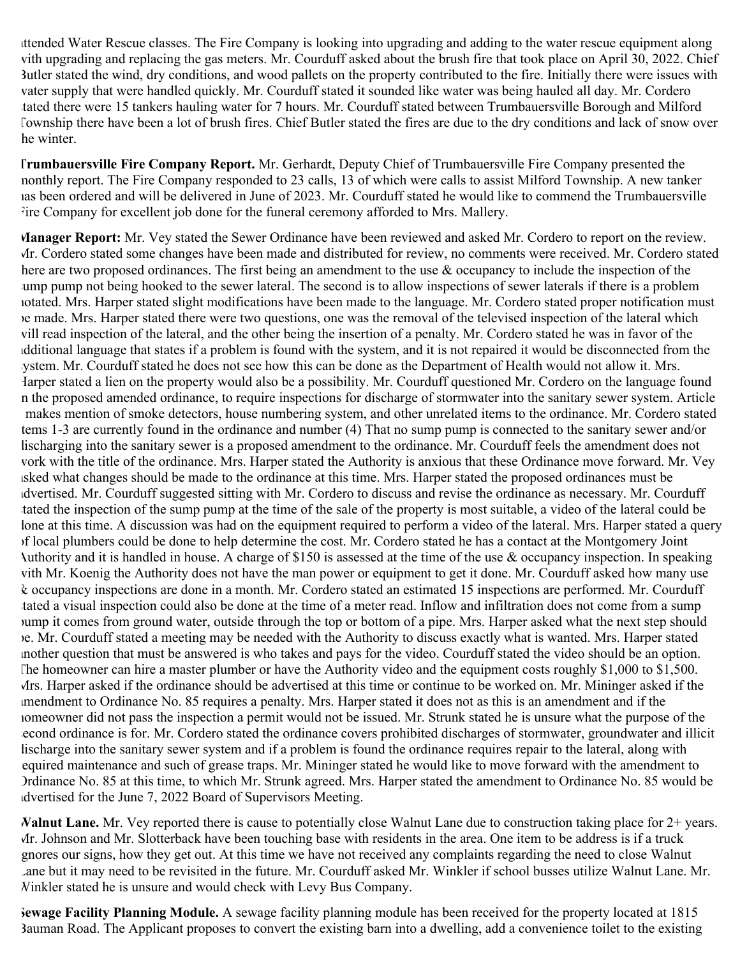attended Water Rescue classes. The Fire Company is looking into upgrading and adding to the water rescue equipment along with upgrading and replacing the gas meters. Mr. Courduff asked about the brush fire that took place on April 30, 2022. Chief Butler stated the wind, dry conditions, and wood pallets on the property contributed to the fire. Initially there were issues with water supply that were handled quickly. Mr. Courduff stated it sounded like water was being hauled all day. Mr. Cordero tated there were 15 tankers hauling water for 7 hours. Mr. Courduff stated between Trumbauersville Borough and Milford Township there have been a lot of brush fires. Chief Butler stated the fires are due to the dry conditions and lack of snow over he winter.

**Trumbauersville Fire Company Report.** Mr. Gerhardt, Deputy Chief of Trumbauersville Fire Company presented the monthly report. The Fire Company responded to 23 calls, 13 of which were calls to assist Milford Township. A new tanker has been ordered and will be delivered in June of 2023. Mr. Courduff stated he would like to commend the Trumbauersville Fire Company for excellent job done for the funeral ceremony afforded to Mrs. Mallery.

**Manager Report:** Mr. Vey stated the Sewer Ordinance have been reviewed and asked Mr. Cordero to report on the review. Mr. Cordero stated some changes have been made and distributed for review, no comments were received. Mr. Cordero stated here are two proposed ordinances. The first being an amendment to the use  $\&$  occupancy to include the inspection of the ump pump not being hooked to the sewer lateral. The second is to allow inspections of sewer laterals if there is a problem notated. Mrs. Harper stated slight modifications have been made to the language. Mr. Cordero stated proper notification must be made. Mrs. Harper stated there were two questions, one was the removal of the televised inspection of the lateral which will read inspection of the lateral, and the other being the insertion of a penalty. Mr. Cordero stated he was in favor of the additional language that states if a problem is found with the system, and it is not repaired it would be disconnected from the system. Mr. Courduff stated he does not see how this can be done as the Department of Health would not allow it. Mrs. Harper stated a lien on the property would also be a possibility. Mr. Courduff questioned Mr. Cordero on the language found in the proposed amended ordinance, to require inspections for discharge of stormwater into the sanitary sewer system. Article makes mention of smoke detectors, house numbering system, and other unrelated items to the ordinance. Mr. Cordero stated items 1-3 are currently found in the ordinance and number (4) That no sump pump is connected to the sanitary sewer and/or lischarging into the sanitary sewer is a proposed amendment to the ordinance. Mr. Courduff feels the amendment does not work with the title of the ordinance. Mrs. Harper stated the Authority is anxious that these Ordinance move forward. Mr. Vey asked what changes should be made to the ordinance at this time. Mrs. Harper stated the proposed ordinances must be advertised. Mr. Courduff suggested sitting with Mr. Cordero to discuss and revise the ordinance as necessary. Mr. Courduff tated the inspection of the sump pump at the time of the sale of the property is most suitable, a video of the lateral could be lone at this time. A discussion was had on the equipment required to perform a video of the lateral. Mrs. Harper stated a query of local plumbers could be done to help determine the cost. Mr. Cordero stated he has a contact at the Montgomery Joint Authority and it is handled in house. A charge of \$150 is assessed at the time of the use & occupancy inspection. In speaking with Mr. Koenig the Authority does not have the man power or equipment to get it done. Mr. Courduff asked how many use & occupancy inspections are done in a month. Mr. Cordero stated an estimated 15 inspections are performed. Mr. Courduff tated a visual inspection could also be done at the time of a meter read. Inflow and infiltration does not come from a sump pump it comes from ground water, outside through the top or bottom of a pipe. Mrs. Harper asked what the next step should be. Mr. Courduff stated a meeting may be needed with the Authority to discuss exactly what is wanted. Mrs. Harper stated another question that must be answered is who takes and pays for the video. Courduff stated the video should be an option. The homeowner can hire a master plumber or have the Authority video and the equipment costs roughly \$1,000 to \$1,500. Mrs. Harper asked if the ordinance should be advertised at this time or continue to be worked on. Mr. Mininger asked if the amendment to Ordinance No. 85 requires a penalty. Mrs. Harper stated it does not as this is an amendment and if the homeowner did not pass the inspection a permit would not be issued. Mr. Strunk stated he is unsure what the purpose of the second ordinance is for. Mr. Cordero stated the ordinance covers prohibited discharges of stormwater, groundwater and illicit lischarge into the sanitary sewer system and if a problem is found the ordinance requires repair to the lateral, along with required maintenance and such of grease traps. Mr. Mininger stated he would like to move forward with the amendment to Ordinance No. 85 at this time, to which Mr. Strunk agreed. Mrs. Harper stated the amendment to Ordinance No. 85 would be advertised for the June 7, 2022 Board of Supervisors Meeting.

**Walnut Lane.** Mr. Vey reported there is cause to potentially close Walnut Lane due to construction taking place for 2+ years. Mr. Johnson and Mr. Slotterback have been touching base with residents in the area. One item to be address is if a truck ignores our signs, how they get out. At this time we have not received any complaints regarding the need to close Walnut Lane but it may need to be revisited in the future. Mr. Courduff asked Mr. Winkler if school busses utilize Walnut Lane. Mr. Winkler stated he is unsure and would check with Levy Bus Company.

**Sewage Facility Planning Module.** A sewage facility planning module has been received for the property located at 1815 Bauman Road. The Applicant proposes to convert the existing barn into a dwelling, add a convenience toilet to the existing